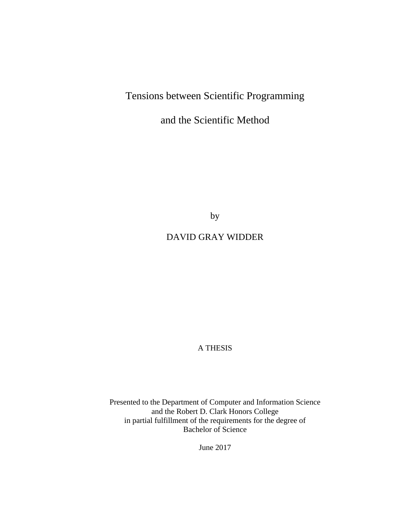# Tensions between Scientific Programming

and the Scientific Method

by

# DAVID GRAY WIDDER

A THESIS

Presented to the Department of Computer and Information Science and the Robert D. Clark Honors College in partial fulfillment of the requirements for the degree of Bachelor of Science

June 2017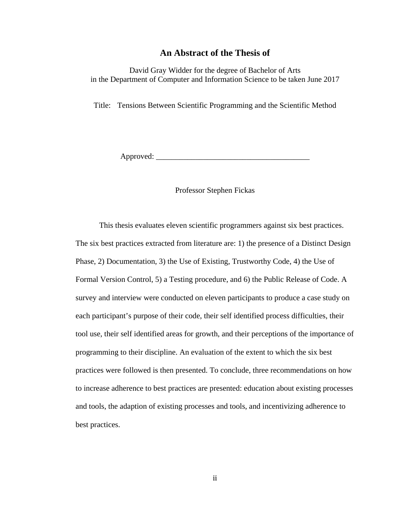## **An Abstract of the Thesis of**

David Gray Widder for the degree of Bachelor of Arts in the Department of Computer and Information Science to be taken June 2017

Title: Tensions Between Scientific Programming and the Scientific Method

Approved: \_\_\_\_\_\_\_\_\_\_\_\_\_\_\_\_\_\_\_\_\_\_\_\_\_\_\_\_\_\_\_\_\_\_\_\_\_\_\_

## Professor Stephen Fickas

This thesis evaluates eleven scientific programmers against six best practices. The six best practices extracted from literature are: 1) the presence of a Distinct Design Phase, 2) Documentation, 3) the Use of Existing, Trustworthy Code, 4) the Use of Formal Version Control, 5) a Testing procedure, and 6) the Public Release of Code. A survey and interview were conducted on eleven participants to produce a case study on each participant's purpose of their code, their self identified process difficulties, their tool use, their self identified areas for growth, and their perceptions of the importance of programming to their discipline. An evaluation of the extent to which the six best practices were followed is then presented. To conclude, three recommendations on how to increase adherence to best practices are presented: education about existing processes and tools, the adaption of existing processes and tools, and incentivizing adherence to best practices.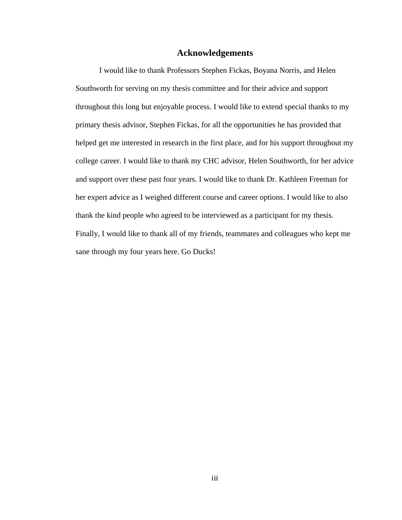## **Acknowledgements**

I would like to thank Professors Stephen Fickas, Boyana Norris, and Helen Southworth for serving on my thesis committee and for their advice and support throughout this long but enjoyable process. I would like to extend special thanks to my primary thesis advisor, Stephen Fickas, for all the opportunities he has provided that helped get me interested in research in the first place, and for his support throughout my college career. I would like to thank my CHC advisor, Helen Southworth, for her advice and support over these past four years. I would like to thank Dr. Kathleen Freeman for her expert advice as I weighed different course and career options. I would like to also thank the kind people who agreed to be interviewed as a participant for my thesis. Finally, I would like to thank all of my friends, teammates and colleagues who kept me sane through my four years here. Go Ducks!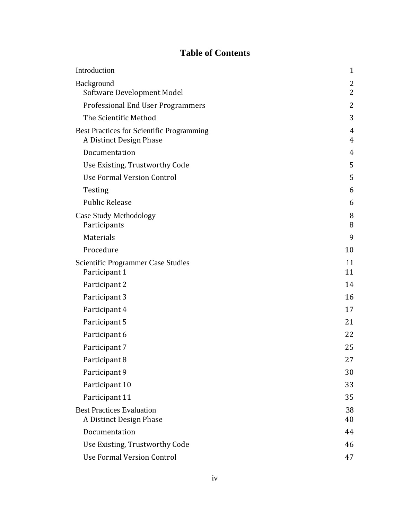# **Table of Contents**

| Introduction                                                                | $\mathbf{1}$   |
|-----------------------------------------------------------------------------|----------------|
| Background                                                                  | $\overline{2}$ |
| Software Development Model                                                  | 2              |
| <b>Professional End User Programmers</b>                                    | 2              |
| The Scientific Method                                                       | 3              |
| <b>Best Practices for Scientific Programming</b><br>A Distinct Design Phase | 4<br>4         |
| Documentation                                                               | 4              |
| Use Existing, Trustworthy Code                                              | 5              |
| Use Formal Version Control                                                  | 5              |
| Testing                                                                     | 6              |
| <b>Public Release</b>                                                       | 6              |
| Case Study Methodology<br>Participants                                      | $8\,$<br>8     |
| Materials                                                                   | 9              |
| Procedure                                                                   | 10             |
| <b>Scientific Programmer Case Studies</b><br>Participant 1                  | 11<br>11       |
| Participant 2                                                               | 14             |
| Participant 3                                                               | 16             |
| Participant 4                                                               | 17             |
| Participant 5                                                               | 21             |
| Participant 6                                                               | 22             |
| Participant 7                                                               | 25             |
| Participant 8                                                               | 27             |
| Participant 9                                                               | 30             |
| Participant 10                                                              | 33             |
| Participant 11                                                              | 35             |
| <b>Best Practices Evaluation</b><br>A Distinct Design Phase                 | 38<br>40       |
| Documentation                                                               | 44             |
| Use Existing, Trustworthy Code                                              | 46             |
| <b>Use Formal Version Control</b>                                           | 47             |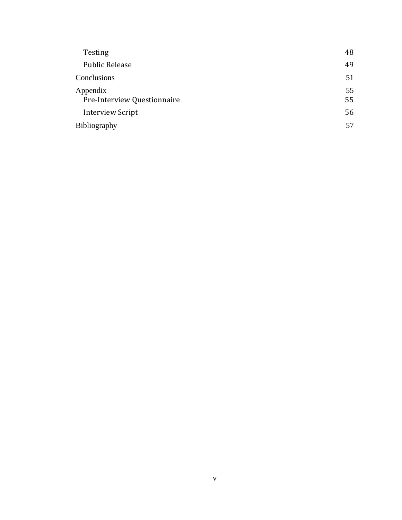| <b>Testing</b>                          | 48       |
|-----------------------------------------|----------|
| <b>Public Release</b>                   | 49       |
| Conclusions                             | 51       |
| Appendix<br>Pre-Interview Questionnaire | 55<br>55 |
| <b>Interview Script</b>                 | 56       |
| Bibliography                            | 57       |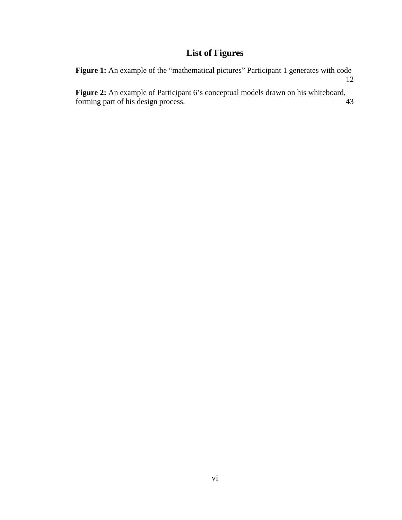# **List of Figures**

| <b>Figure 1:</b> An example of the "mathematical pictures" Participant 1 generates with code |    |
|----------------------------------------------------------------------------------------------|----|
|                                                                                              |    |
| <b>Figure 2:</b> An example of Participant 6's conceptual models drawn on his whiteboard,    |    |
| forming part of his design process.                                                          | 43 |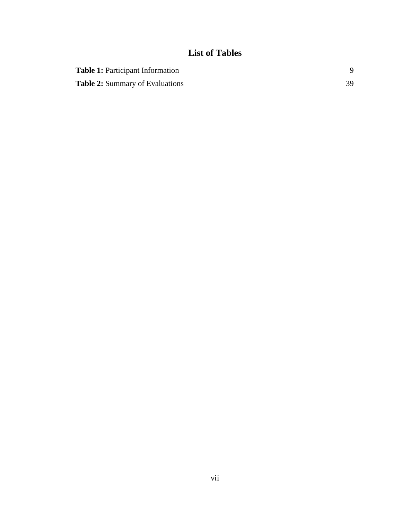# **List of Tables**

| <b>Table 1:</b> Participant Information |  |
|-----------------------------------------|--|
| <b>Table 2:</b> Summary of Evaluations  |  |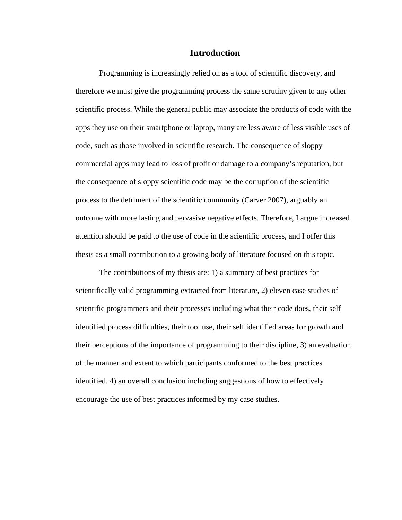# **Introduction**

Programming is increasingly relied on as a tool of scientific discovery, and therefore we must give the programming process the same scrutiny given to any other scientific process. While the general public may associate the products of code with the apps they use on their smartphone or laptop, many are less aware of less visible uses of code, such as those involved in scientific research. The consequence of sloppy commercial apps may lead to loss of profit or damage to a company's reputation, but the consequence of sloppy scientific code may be the corruption of the scientific process to the detriment of the scientific community (Carver 2007), arguably an outcome with more lasting and pervasive negative effects. Therefore, I argue increased attention should be paid to the use of code in the scientific process, and I offer this thesis as a small contribution to a growing body of literature focused on this topic.

The contributions of my thesis are: 1) a summary of best practices for scientifically valid programming extracted from literature, 2) eleven case studies of scientific programmers and their processes including what their code does, their self identified process difficulties, their tool use, their self identified areas for growth and their perceptions of the importance of programming to their discipline, 3) an evaluation of the manner and extent to which participants conformed to the best practices identified, 4) an overall conclusion including suggestions of how to effectively encourage the use of best practices informed by my case studies.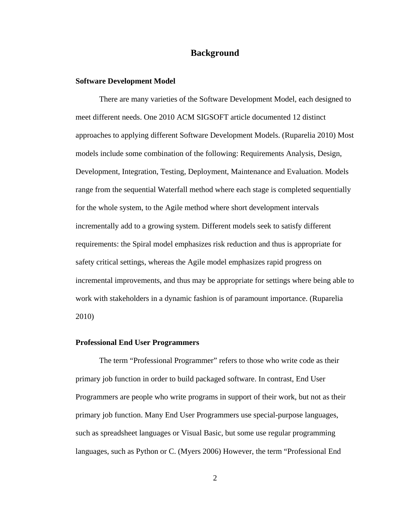## **Background**

#### **Software Development Model**

There are many varieties of the Software Development Model, each designed to meet different needs. One 2010 ACM SIGSOFT article documented 12 distinct approaches to applying different Software Development Models. (Ruparelia 2010) Most models include some combination of the following: Requirements Analysis, Design, Development, Integration, Testing, Deployment, Maintenance and Evaluation. Models range from the sequential Waterfall method where each stage is completed sequentially for the whole system, to the Agile method where short development intervals incrementally add to a growing system. Different models seek to satisfy different requirements: the Spiral model emphasizes risk reduction and thus is appropriate for safety critical settings, whereas the Agile model emphasizes rapid progress on incremental improvements, and thus may be appropriate for settings where being able to work with stakeholders in a dynamic fashion is of paramount importance. (Ruparelia 2010)

#### **Professional End User Programmers**

The term "Professional Programmer" refers to those who write code as their primary job function in order to build packaged software. In contrast, End User Programmers are people who write programs in support of their work, but not as their primary job function. Many End User Programmers use special-purpose languages, such as spreadsheet languages or Visual Basic, but some use regular programming languages, such as Python or C. (Myers 2006) However, the term "Professional End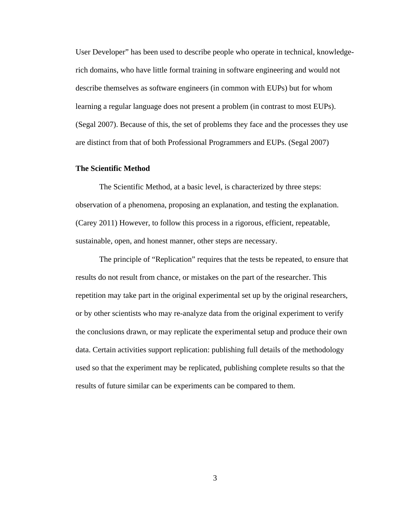User Developer" has been used to describe people who operate in technical, knowledgerich domains, who have little formal training in software engineering and would not describe themselves as software engineers (in common with EUPs) but for whom learning a regular language does not present a problem (in contrast to most EUPs). (Segal 2007). Because of this, the set of problems they face and the processes they use are distinct from that of both Professional Programmers and EUPs. (Segal 2007)

#### **The Scientific Method**

The Scientific Method, at a basic level, is characterized by three steps: observation of a phenomena, proposing an explanation, and testing the explanation. (Carey 2011) However, to follow this process in a rigorous, efficient, repeatable, sustainable, open, and honest manner, other steps are necessary.

The principle of "Replication" requires that the tests be repeated, to ensure that results do not result from chance, or mistakes on the part of the researcher. This repetition may take part in the original experimental set up by the original researchers, or by other scientists who may re-analyze data from the original experiment to verify the conclusions drawn, or may replicate the experimental setup and produce their own data. Certain activities support replication: publishing full details of the methodology used so that the experiment may be replicated, publishing complete results so that the results of future similar can be experiments can be compared to them.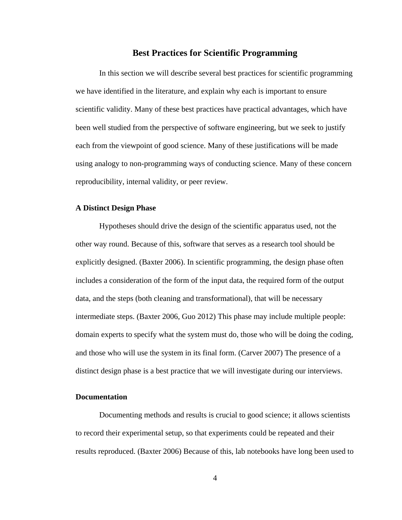## **Best Practices for Scientific Programming**

In this section we will describe several best practices for scientific programming we have identified in the literature, and explain why each is important to ensure scientific validity. Many of these best practices have practical advantages, which have been well studied from the perspective of software engineering, but we seek to justify each from the viewpoint of good science. Many of these justifications will be made using analogy to non-programming ways of conducting science. Many of these concern reproducibility, internal validity, or peer review.

#### **A Distinct Design Phase**

Hypotheses should drive the design of the scientific apparatus used, not the other way round. Because of this, software that serves as a research tool should be explicitly designed. (Baxter 2006). In scientific programming, the design phase often includes a consideration of the form of the input data, the required form of the output data, and the steps (both cleaning and transformational), that will be necessary intermediate steps. (Baxter 2006, Guo 2012) This phase may include multiple people: domain experts to specify what the system must do, those who will be doing the coding, and those who will use the system in its final form. (Carver 2007) The presence of a distinct design phase is a best practice that we will investigate during our interviews.

## **Documentation**

Documenting methods and results is crucial to good science; it allows scientists to record their experimental setup, so that experiments could be repeated and their results reproduced. (Baxter 2006) Because of this, lab notebooks have long been used to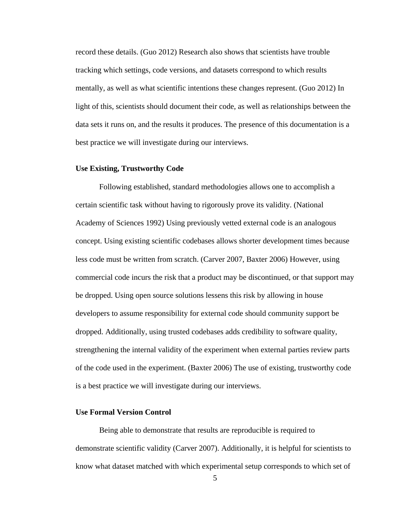record these details. (Guo 2012) Research also shows that scientists have trouble tracking which settings, code versions, and datasets correspond to which results mentally, as well as what scientific intentions these changes represent. (Guo 2012) In light of this, scientists should document their code, as well as relationships between the data sets it runs on, and the results it produces. The presence of this documentation is a best practice we will investigate during our interviews.

#### **Use Existing, Trustworthy Code**

Following established, standard methodologies allows one to accomplish a certain scientific task without having to rigorously prove its validity. (National Academy of Sciences 1992) Using previously vetted external code is an analogous concept. Using existing scientific codebases allows shorter development times because less code must be written from scratch. (Carver 2007, Baxter 2006) However, using commercial code incurs the risk that a product may be discontinued, or that support may be dropped. Using open source solutions lessens this risk by allowing in house developers to assume responsibility for external code should community support be dropped. Additionally, using trusted codebases adds credibility to software quality, strengthening the internal validity of the experiment when external parties review parts of the code used in the experiment. (Baxter 2006) The use of existing, trustworthy code is a best practice we will investigate during our interviews.

# **Use Formal Version Control**

Being able to demonstrate that results are reproducible is required to demonstrate scientific validity (Carver 2007). Additionally, it is helpful for scientists to know what dataset matched with which experimental setup corresponds to which set of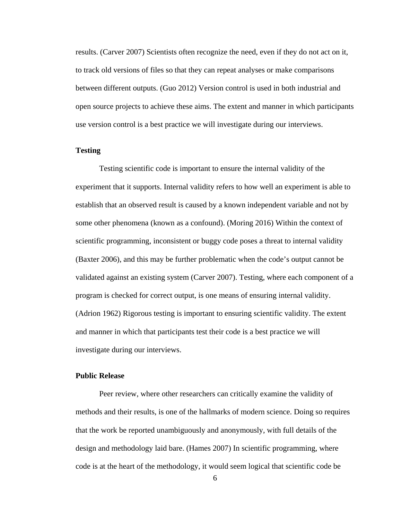results. (Carver 2007) Scientists often recognize the need, even if they do not act on it, to track old versions of files so that they can repeat analyses or make comparisons between different outputs. (Guo 2012) Version control is used in both industrial and open source projects to achieve these aims. The extent and manner in which participants use version control is a best practice we will investigate during our interviews.

## **Testing**

Testing scientific code is important to ensure the internal validity of the experiment that it supports. Internal validity refers to how well an experiment is able to establish that an observed result is caused by a known independent variable and not by some other phenomena (known as a confound). (Moring 2016) Within the context of scientific programming, inconsistent or buggy code poses a threat to internal validity (Baxter 2006), and this may be further problematic when the code's output cannot be validated against an existing system (Carver 2007). Testing, where each component of a program is checked for correct output, is one means of ensuring internal validity. (Adrion 1962) Rigorous testing is important to ensuring scientific validity. The extent and manner in which that participants test their code is a best practice we will investigate during our interviews.

## **Public Release**

Peer review, where other researchers can critically examine the validity of methods and their results, is one of the hallmarks of modern science. Doing so requires that the work be reported unambiguously and anonymously, with full details of the design and methodology laid bare. (Hames 2007) In scientific programming, where code is at the heart of the methodology, it would seem logical that scientific code be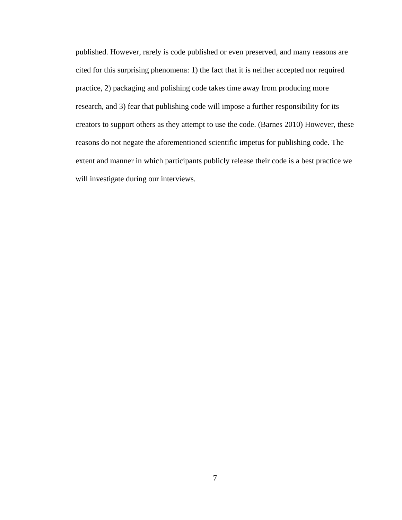published. However, rarely is code published or even preserved, and many reasons are cited for this surprising phenomena: 1) the fact that it is neither accepted nor required practice, 2) packaging and polishing code takes time away from producing more research, and 3) fear that publishing code will impose a further responsibility for its creators to support others as they attempt to use the code. (Barnes 2010) However, these reasons do not negate the aforementioned scientific impetus for publishing code. The extent and manner in which participants publicly release their code is a best practice we will investigate during our interviews.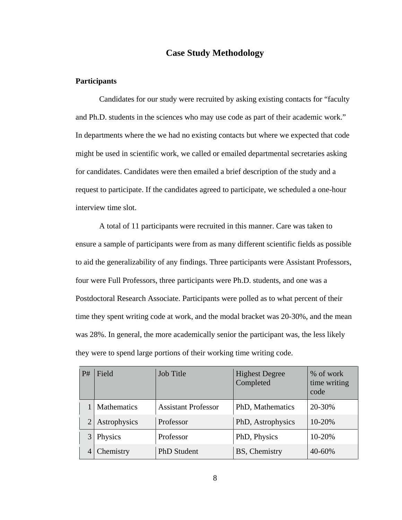# **Case Study Methodology**

### **Participants**

Candidates for our study were recruited by asking existing contacts for "faculty and Ph.D. students in the sciences who may use code as part of their academic work." In departments where the we had no existing contacts but where we expected that code might be used in scientific work, we called or emailed departmental secretaries asking for candidates. Candidates were then emailed a brief description of the study and a request to participate. If the candidates agreed to participate, we scheduled a one-hour interview time slot.

A total of 11 participants were recruited in this manner. Care was taken to ensure a sample of participants were from as many different scientific fields as possible to aid the generalizability of any findings. Three participants were Assistant Professors, four were Full Professors, three participants were Ph.D. students, and one was a Postdoctoral Research Associate. Participants were polled as to what percent of their time they spent writing code at work, and the modal bracket was 20-30%, and the mean was 28%. In general, the more academically senior the participant was, the less likely they were to spend large portions of their working time writing code.

| P# | <b>Job Title</b><br>Field                               |           | <b>Highest Degree</b><br>Completed | % of work<br>time writing<br>code |
|----|---------------------------------------------------------|-----------|------------------------------------|-----------------------------------|
|    | <b>Mathematics</b><br><b>Assistant Professor</b>        |           | PhD, Mathematics                   | 20-30%                            |
| 2  | Astrophysics                                            | Professor | PhD, Astrophysics                  | 10-20%                            |
| 3  | Physics<br>Professor<br>Chemistry<br><b>PhD</b> Student |           | PhD, Physics                       | 10-20%                            |
|    |                                                         |           | BS, Chemistry                      | 40-60%                            |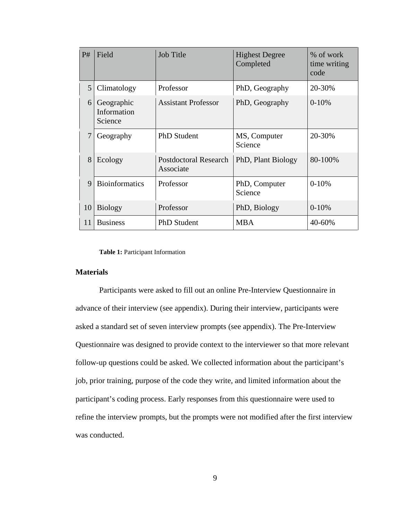| P#                                   | Field                                                                   | <b>Job Title</b>                          | <b>Highest Degree</b><br>Completed | % of work<br>time writing<br>code |
|--------------------------------------|-------------------------------------------------------------------------|-------------------------------------------|------------------------------------|-----------------------------------|
| 5                                    | Climatology                                                             | Professor                                 | PhD, Geography                     | 20-30%                            |
|                                      | <b>Assistant Professor</b><br>Geographic<br>6<br>Information<br>Science |                                           | PhD, Geography                     | $0-10%$                           |
| 7<br><b>PhD</b> Student<br>Geography |                                                                         | MS, Computer<br>Science                   | 20-30%                             |                                   |
| 8                                    | Ecology                                                                 | <b>Postdoctoral Research</b><br>Associate | PhD, Plant Biology                 | 80-100%                           |
| 9                                    | <b>Bioinformatics</b><br>Professor                                      |                                           | PhD, Computer<br>Science           | $0-10%$                           |
| 10                                   | <b>Biology</b>                                                          | Professor                                 | PhD, Biology                       | $0-10%$                           |
| 11                                   | <b>Business</b><br><b>PhD</b> Student                                   |                                           | <b>MBA</b>                         | 40-60%                            |

#### **Table 1:** Participant Information

## **Materials**

Participants were asked to fill out an online Pre-Interview Questionnaire in advance of their interview (see appendix). During their interview, participants were asked a standard set of seven interview prompts (see appendix). The Pre-Interview Questionnaire was designed to provide context to the interviewer so that more relevant follow-up questions could be asked. We collected information about the participant's job, prior training, purpose of the code they write, and limited information about the participant's coding process. Early responses from this questionnaire were used to refine the interview prompts, but the prompts were not modified after the first interview was conducted.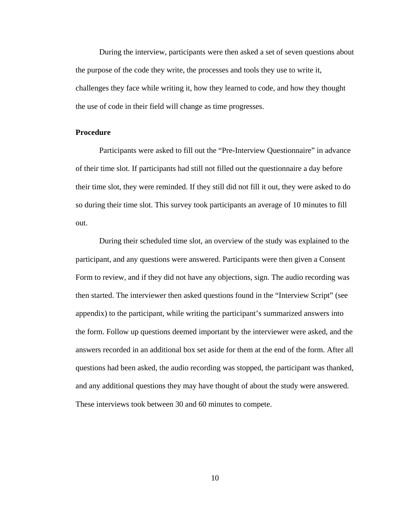During the interview, participants were then asked a set of seven questions about the purpose of the code they write, the processes and tools they use to write it, challenges they face while writing it, how they learned to code, and how they thought the use of code in their field will change as time progresses.

#### **Procedure**

Participants were asked to fill out the "Pre-Interview Questionnaire" in advance of their time slot. If participants had still not filled out the questionnaire a day before their time slot, they were reminded. If they still did not fill it out, they were asked to do so during their time slot. This survey took participants an average of 10 minutes to fill out.

During their scheduled time slot, an overview of the study was explained to the participant, and any questions were answered. Participants were then given a Consent Form to review, and if they did not have any objections, sign. The audio recording was then started. The interviewer then asked questions found in the "Interview Script" (see appendix) to the participant, while writing the participant's summarized answers into the form. Follow up questions deemed important by the interviewer were asked, and the answers recorded in an additional box set aside for them at the end of the form. After all questions had been asked, the audio recording was stopped, the participant was thanked, and any additional questions they may have thought of about the study were answered. These interviews took between 30 and 60 minutes to compete.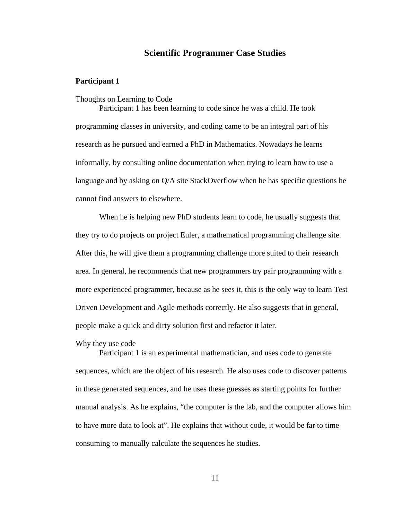# **Scientific Programmer Case Studies**

## **Participant 1**

Thoughts on Learning to Code

Participant 1 has been learning to code since he was a child. He took programming classes in university, and coding came to be an integral part of his research as he pursued and earned a PhD in Mathematics. Nowadays he learns informally, by consulting online documentation when trying to learn how to use a language and by asking on Q/A site StackOverflow when he has specific questions he cannot find answers to elsewhere.

When he is helping new PhD students learn to code, he usually suggests that they try to do projects on project Euler, a mathematical programming challenge site. After this, he will give them a programming challenge more suited to their research area. In general, he recommends that new programmers try pair programming with a more experienced programmer, because as he sees it, this is the only way to learn Test Driven Development and Agile methods correctly. He also suggests that in general, people make a quick and dirty solution first and refactor it later.

Why they use code

Participant 1 is an experimental mathematician, and uses code to generate sequences, which are the object of his research. He also uses code to discover patterns in these generated sequences, and he uses these guesses as starting points for further manual analysis. As he explains, "the computer is the lab, and the computer allows him to have more data to look at". He explains that without code, it would be far to time consuming to manually calculate the sequences he studies.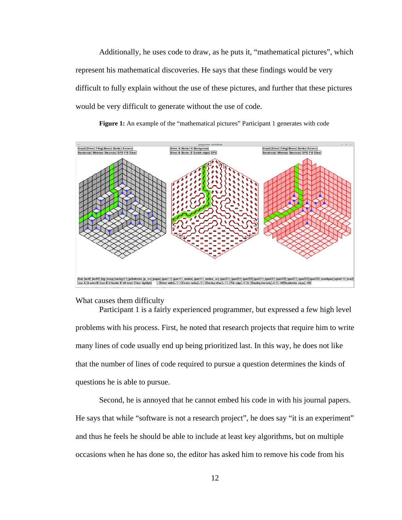Additionally, he uses code to draw, as he puts it, "mathematical pictures", which represent his mathematical discoveries. He says that these findings would be very difficult to fully explain without the use of these pictures, and further that these pictures would be very difficult to generate without the use of code.





What causes them difficulty

Participant 1 is a fairly experienced programmer, but expressed a few high level problems with his process. First, he noted that research projects that require him to write many lines of code usually end up being prioritized last. In this way, he does not like that the number of lines of code required to pursue a question determines the kinds of questions he is able to pursue.

Second, he is annoyed that he cannot embed his code in with his journal papers. He says that while "software is not a research project", he does say "it is an experiment" and thus he feels he should be able to include at least key algorithms, but on multiple occasions when he has done so, the editor has asked him to remove his code from his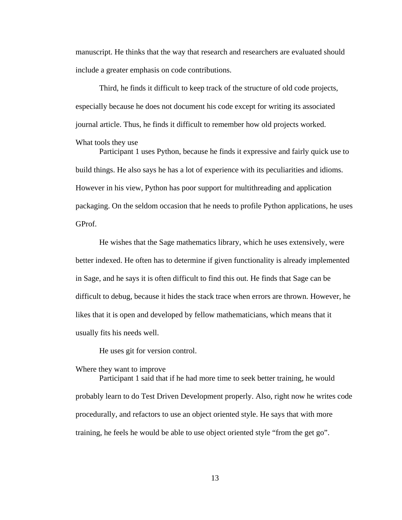manuscript. He thinks that the way that research and researchers are evaluated should include a greater emphasis on code contributions.

Third, he finds it difficult to keep track of the structure of old code projects, especially because he does not document his code except for writing its associated journal article. Thus, he finds it difficult to remember how old projects worked.

What tools they use

Participant 1 uses Python, because he finds it expressive and fairly quick use to build things. He also says he has a lot of experience with its peculiarities and idioms. However in his view, Python has poor support for multithreading and application packaging. On the seldom occasion that he needs to profile Python applications, he uses GProf.

He wishes that the Sage mathematics library, which he uses extensively, were better indexed. He often has to determine if given functionality is already implemented in Sage, and he says it is often difficult to find this out. He finds that Sage can be difficult to debug, because it hides the stack trace when errors are thrown. However, he likes that it is open and developed by fellow mathematicians, which means that it usually fits his needs well.

He uses git for version control.

Where they want to improve

Participant 1 said that if he had more time to seek better training, he would probably learn to do Test Driven Development properly. Also, right now he writes code procedurally, and refactors to use an object oriented style. He says that with more training, he feels he would be able to use object oriented style "from the get go".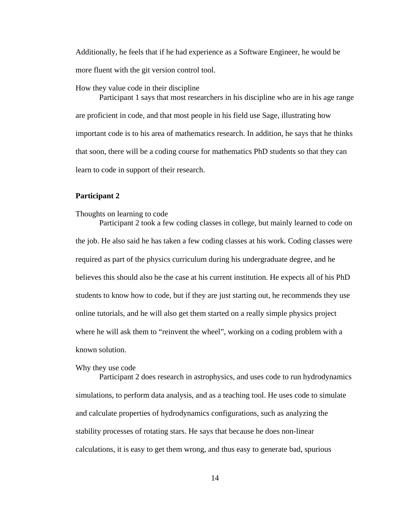Additionally, he feels that if he had experience as a Software Engineer, he would be more fluent with the git version control tool.

#### How they value code in their discipline

Participant 1 says that most researchers in his discipline who are in his age range are proficient in code, and that most people in his field use Sage, illustrating how important code is to his area of mathematics research. In addition, he says that he thinks that soon, there will be a coding course for mathematics PhD students so that they can learn to code in support of their research.

#### **Participant 2**

#### Thoughts on learning to code

Participant 2 took a few coding classes in college, but mainly learned to code on the job. He also said he has taken a few coding classes at his work. Coding classes were required as part of the physics curriculum during his undergraduate degree, and he believes this should also be the case at his current institution. He expects all of his PhD students to know how to code, but if they are just starting out, he recommends they use online tutorials, and he will also get them started on a really simple physics project where he will ask them to "reinvent the wheel", working on a coding problem with a known solution.

## Why they use code

Participant 2 does research in astrophysics, and uses code to run hydrodynamics simulations, to perform data analysis, and as a teaching tool. He uses code to simulate and calculate properties of hydrodynamics configurations, such as analyzing the stability processes of rotating stars. He says that because he does non-linear calculations, it is easy to get them wrong, and thus easy to generate bad, spurious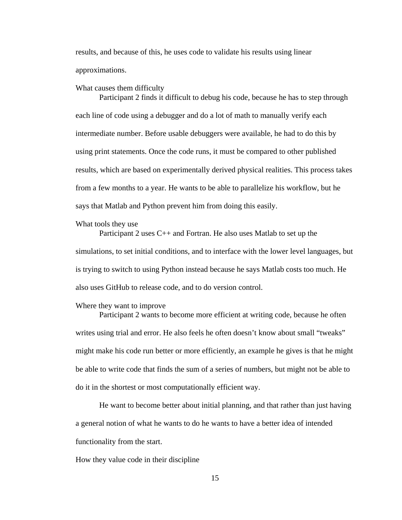results, and because of this, he uses code to validate his results using linear approximations.

What causes them difficulty

Participant 2 finds it difficult to debug his code, because he has to step through each line of code using a debugger and do a lot of math to manually verify each intermediate number. Before usable debuggers were available, he had to do this by using print statements. Once the code runs, it must be compared to other published results, which are based on experimentally derived physical realities. This process takes from a few months to a year. He wants to be able to parallelize his workflow, but he says that Matlab and Python prevent him from doing this easily.

What tools they use

Participant 2 uses C++ and Fortran. He also uses Matlab to set up the simulations, to set initial conditions, and to interface with the lower level languages, but is trying to switch to using Python instead because he says Matlab costs too much. He also uses GitHub to release code, and to do version control.

#### Where they want to improve

Participant 2 wants to become more efficient at writing code, because he often writes using trial and error. He also feels he often doesn't know about small "tweaks" might make his code run better or more efficiently, an example he gives is that he might be able to write code that finds the sum of a series of numbers, but might not be able to do it in the shortest or most computationally efficient way.

He want to become better about initial planning, and that rather than just having a general notion of what he wants to do he wants to have a better idea of intended functionality from the start.

How they value code in their discipline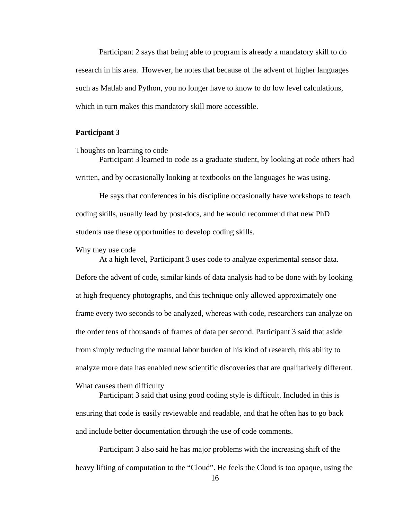Participant 2 says that being able to program is already a mandatory skill to do research in his area. However, he notes that because of the advent of higher languages such as Matlab and Python, you no longer have to know to do low level calculations, which in turn makes this mandatory skill more accessible.

### **Participant 3**

Thoughts on learning to code

Participant 3 learned to code as a graduate student, by looking at code others had written, and by occasionally looking at textbooks on the languages he was using.

He says that conferences in his discipline occasionally have workshops to teach coding skills, usually lead by post-docs, and he would recommend that new PhD students use these opportunities to develop coding skills.

Why they use code

At a high level, Participant 3 uses code to analyze experimental sensor data. Before the advent of code, similar kinds of data analysis had to be done with by looking at high frequency photographs, and this technique only allowed approximately one frame every two seconds to be analyzed, whereas with code, researchers can analyze on the order tens of thousands of frames of data per second. Participant 3 said that aside from simply reducing the manual labor burden of his kind of research, this ability to analyze more data has enabled new scientific discoveries that are qualitatively different. What causes them difficulty

Participant 3 said that using good coding style is difficult. Included in this is ensuring that code is easily reviewable and readable, and that he often has to go back and include better documentation through the use of code comments.

Participant 3 also said he has major problems with the increasing shift of the heavy lifting of computation to the "Cloud". He feels the Cloud is too opaque, using the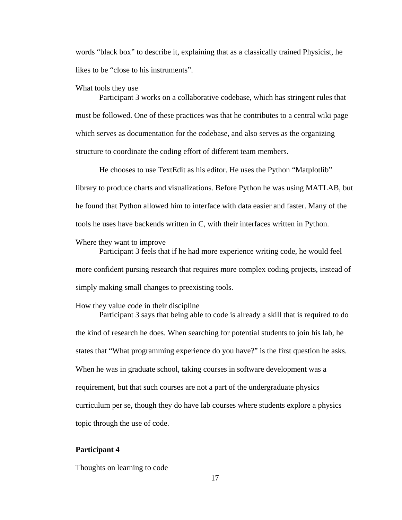words "black box" to describe it, explaining that as a classically trained Physicist, he likes to be "close to his instruments".

#### What tools they use

Participant 3 works on a collaborative codebase, which has stringent rules that must be followed. One of these practices was that he contributes to a central wiki page which serves as documentation for the codebase, and also serves as the organizing structure to coordinate the coding effort of different team members.

He chooses to use TextEdit as his editor. He uses the Python "Matplotlib" library to produce charts and visualizations. Before Python he was using MATLAB, but he found that Python allowed him to interface with data easier and faster. Many of the tools he uses have backends written in C, with their interfaces written in Python.

#### Where they want to improve

Participant 3 feels that if he had more experience writing code, he would feel more confident pursing research that requires more complex coding projects, instead of simply making small changes to preexisting tools.

#### How they value code in their discipline

Participant 3 says that being able to code is already a skill that is required to do the kind of research he does. When searching for potential students to join his lab, he states that "What programming experience do you have?" is the first question he asks. When he was in graduate school, taking courses in software development was a requirement, but that such courses are not a part of the undergraduate physics curriculum per se, though they do have lab courses where students explore a physics topic through the use of code.

## **Participant 4**

Thoughts on learning to code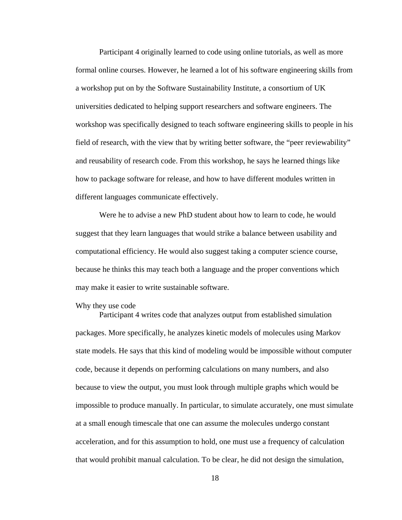Participant 4 originally learned to code using online tutorials, as well as more formal online courses. However, he learned a lot of his software engineering skills from a workshop put on by the Software Sustainability Institute, a consortium of UK universities dedicated to helping support researchers and software engineers. The workshop was specifically designed to teach software engineering skills to people in his field of research, with the view that by writing better software, the "peer reviewability" and reusability of research code. From this workshop, he says he learned things like how to package software for release, and how to have different modules written in different languages communicate effectively.

Were he to advise a new PhD student about how to learn to code, he would suggest that they learn languages that would strike a balance between usability and computational efficiency. He would also suggest taking a computer science course, because he thinks this may teach both a language and the proper conventions which may make it easier to write sustainable software.

#### Why they use code

Participant 4 writes code that analyzes output from established simulation packages. More specifically, he analyzes kinetic models of molecules using Markov state models. He says that this kind of modeling would be impossible without computer code, because it depends on performing calculations on many numbers, and also because to view the output, you must look through multiple graphs which would be impossible to produce manually. In particular, to simulate accurately, one must simulate at a small enough timescale that one can assume the molecules undergo constant acceleration, and for this assumption to hold, one must use a frequency of calculation that would prohibit manual calculation. To be clear, he did not design the simulation,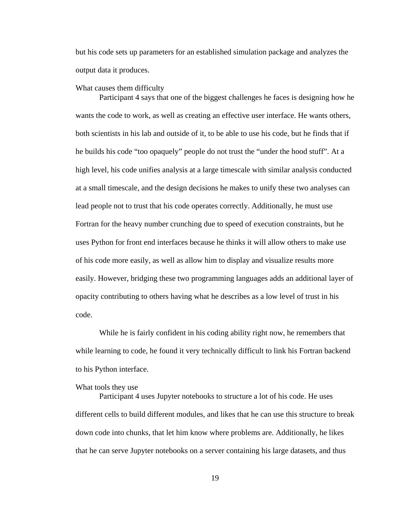but his code sets up parameters for an established simulation package and analyzes the output data it produces.

#### What causes them difficulty

Participant 4 says that one of the biggest challenges he faces is designing how he wants the code to work, as well as creating an effective user interface. He wants others, both scientists in his lab and outside of it, to be able to use his code, but he finds that if he builds his code "too opaquely" people do not trust the "under the hood stuff". At a high level, his code unifies analysis at a large timescale with similar analysis conducted at a small timescale, and the design decisions he makes to unify these two analyses can lead people not to trust that his code operates correctly. Additionally, he must use Fortran for the heavy number crunching due to speed of execution constraints, but he uses Python for front end interfaces because he thinks it will allow others to make use of his code more easily, as well as allow him to display and visualize results more easily. However, bridging these two programming languages adds an additional layer of opacity contributing to others having what he describes as a low level of trust in his code.

While he is fairly confident in his coding ability right now, he remembers that while learning to code, he found it very technically difficult to link his Fortran backend to his Python interface.

## What tools they use

Participant 4 uses Jupyter notebooks to structure a lot of his code. He uses different cells to build different modules, and likes that he can use this structure to break down code into chunks, that let him know where problems are. Additionally, he likes that he can serve Jupyter notebooks on a server containing his large datasets, and thus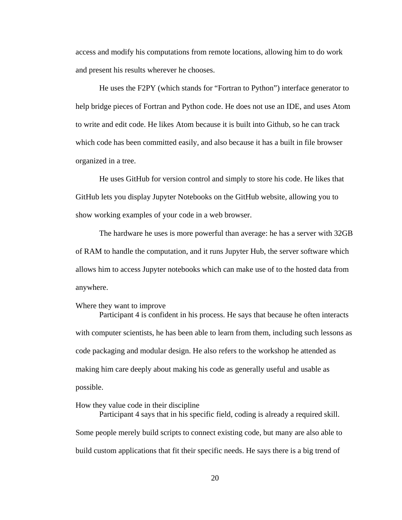access and modify his computations from remote locations, allowing him to do work and present his results wherever he chooses.

He uses the F2PY (which stands for "Fortran to Python") interface generator to help bridge pieces of Fortran and Python code. He does not use an IDE, and uses Atom to write and edit code. He likes Atom because it is built into Github, so he can track which code has been committed easily, and also because it has a built in file browser organized in a tree.

He uses GitHub for version control and simply to store his code. He likes that GitHub lets you display Jupyter Notebooks on the GitHub website, allowing you to show working examples of your code in a web browser.

The hardware he uses is more powerful than average: he has a server with 32GB of RAM to handle the computation, and it runs Jupyter Hub, the server software which allows him to access Jupyter notebooks which can make use of to the hosted data from anywhere.

#### Where they want to improve

Participant 4 is confident in his process. He says that because he often interacts with computer scientists, he has been able to learn from them, including such lessons as code packaging and modular design. He also refers to the workshop he attended as making him care deeply about making his code as generally useful and usable as possible.

### How they value code in their discipline

Participant 4 says that in his specific field, coding is already a required skill. Some people merely build scripts to connect existing code, but many are also able to build custom applications that fit their specific needs. He says there is a big trend of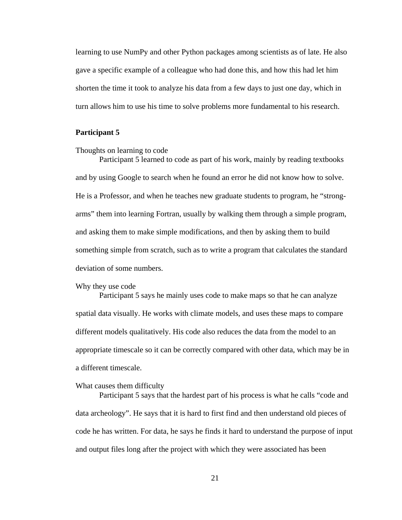learning to use NumPy and other Python packages among scientists as of late. He also gave a specific example of a colleague who had done this, and how this had let him shorten the time it took to analyze his data from a few days to just one day, which in turn allows him to use his time to solve problems more fundamental to his research.

### **Participant 5**

Thoughts on learning to code

Participant 5 learned to code as part of his work, mainly by reading textbooks and by using Google to search when he found an error he did not know how to solve. He is a Professor, and when he teaches new graduate students to program, he "strongarms" them into learning Fortran, usually by walking them through a simple program, and asking them to make simple modifications, and then by asking them to build something simple from scratch, such as to write a program that calculates the standard deviation of some numbers.

#### Why they use code

Participant 5 says he mainly uses code to make maps so that he can analyze spatial data visually. He works with climate models, and uses these maps to compare different models qualitatively. His code also reduces the data from the model to an appropriate timescale so it can be correctly compared with other data, which may be in a different timescale.

#### What causes them difficulty

Participant 5 says that the hardest part of his process is what he calls "code and data archeology". He says that it is hard to first find and then understand old pieces of code he has written. For data, he says he finds it hard to understand the purpose of input and output files long after the project with which they were associated has been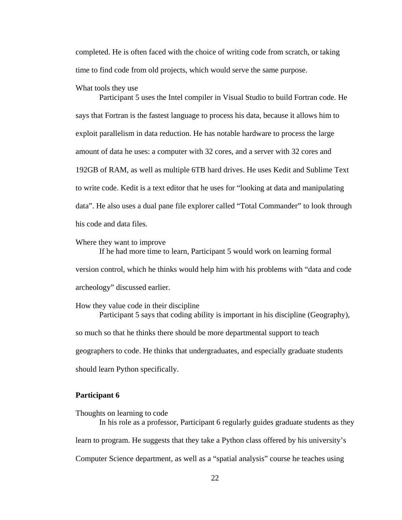completed. He is often faced with the choice of writing code from scratch, or taking time to find code from old projects, which would serve the same purpose.

#### What tools they use

Participant 5 uses the Intel compiler in Visual Studio to build Fortran code. He says that Fortran is the fastest language to process his data, because it allows him to exploit parallelism in data reduction. He has notable hardware to process the large amount of data he uses: a computer with 32 cores, and a server with 32 cores and 192GB of RAM, as well as multiple 6TB hard drives. He uses Kedit and Sublime Text to write code. Kedit is a text editor that he uses for "looking at data and manipulating data". He also uses a dual pane file explorer called "Total Commander" to look through his code and data files.

#### Where they want to improve

If he had more time to learn, Participant 5 would work on learning formal version control, which he thinks would help him with his problems with "data and code archeology" discussed earlier.

How they value code in their discipline Participant 5 says that coding ability is important in his discipline (Geography), so much so that he thinks there should be more departmental support to teach geographers to code. He thinks that undergraduates, and especially graduate students should learn Python specifically.

## **Participant 6**

Thoughts on learning to code In his role as a professor, Participant 6 regularly guides graduate students as they learn to program. He suggests that they take a Python class offered by his university's Computer Science department, as well as a "spatial analysis" course he teaches using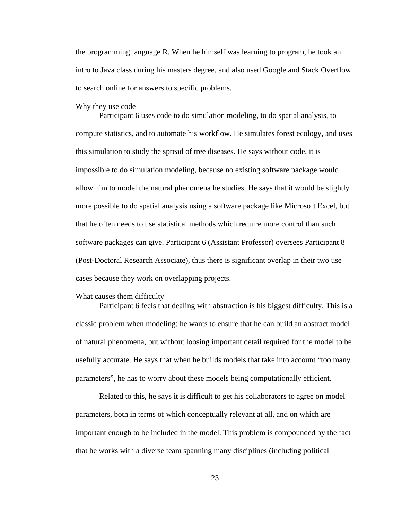the programming language R. When he himself was learning to program, he took an intro to Java class during his masters degree, and also used Google and Stack Overflow to search online for answers to specific problems.

Why they use code

Participant 6 uses code to do simulation modeling, to do spatial analysis, to compute statistics, and to automate his workflow. He simulates forest ecology, and uses this simulation to study the spread of tree diseases. He says without code, it is impossible to do simulation modeling, because no existing software package would allow him to model the natural phenomena he studies. He says that it would be slightly more possible to do spatial analysis using a software package like Microsoft Excel, but that he often needs to use statistical methods which require more control than such software packages can give. Participant 6 (Assistant Professor) oversees Participant 8 (Post-Doctoral Research Associate), thus there is significant overlap in their two use cases because they work on overlapping projects.

#### What causes them difficulty

Participant 6 feels that dealing with abstraction is his biggest difficulty. This is a classic problem when modeling: he wants to ensure that he can build an abstract model of natural phenomena, but without loosing important detail required for the model to be usefully accurate. He says that when he builds models that take into account "too many parameters", he has to worry about these models being computationally efficient.

Related to this, he says it is difficult to get his collaborators to agree on model parameters, both in terms of which conceptually relevant at all, and on which are important enough to be included in the model. This problem is compounded by the fact that he works with a diverse team spanning many disciplines (including political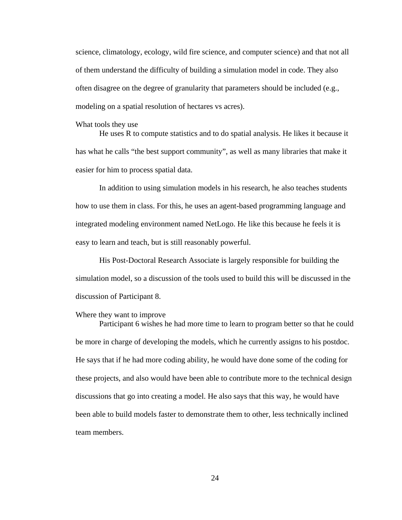science, climatology, ecology, wild fire science, and computer science) and that not all of them understand the difficulty of building a simulation model in code. They also often disagree on the degree of granularity that parameters should be included (e.g., modeling on a spatial resolution of hectares vs acres).

What tools they use

He uses R to compute statistics and to do spatial analysis. He likes it because it has what he calls "the best support community", as well as many libraries that make it easier for him to process spatial data.

In addition to using simulation models in his research, he also teaches students how to use them in class. For this, he uses an agent-based programming language and integrated modeling environment named NetLogo. He like this because he feels it is easy to learn and teach, but is still reasonably powerful.

His Post-Doctoral Research Associate is largely responsible for building the simulation model, so a discussion of the tools used to build this will be discussed in the discussion of Participant 8.

#### Where they want to improve

Participant 6 wishes he had more time to learn to program better so that he could be more in charge of developing the models, which he currently assigns to his postdoc. He says that if he had more coding ability, he would have done some of the coding for these projects, and also would have been able to contribute more to the technical design discussions that go into creating a model. He also says that this way, he would have been able to build models faster to demonstrate them to other, less technically inclined team members.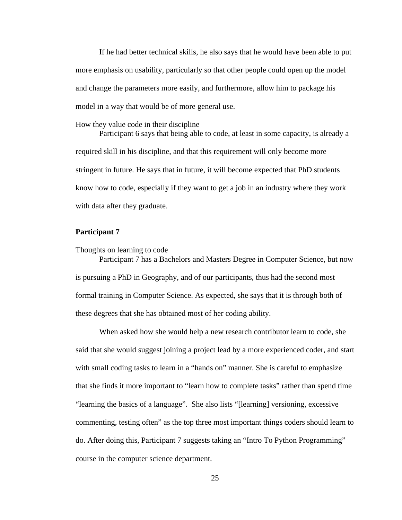If he had better technical skills, he also says that he would have been able to put more emphasis on usability, particularly so that other people could open up the model and change the parameters more easily, and furthermore, allow him to package his model in a way that would be of more general use.

#### How they value code in their discipline

Participant 6 says that being able to code, at least in some capacity, is already a required skill in his discipline, and that this requirement will only become more stringent in future. He says that in future, it will become expected that PhD students know how to code, especially if they want to get a job in an industry where they work with data after they graduate.

## **Participant 7**

Thoughts on learning to code

Participant 7 has a Bachelors and Masters Degree in Computer Science, but now is pursuing a PhD in Geography, and of our participants, thus had the second most formal training in Computer Science. As expected, she says that it is through both of these degrees that she has obtained most of her coding ability.

When asked how she would help a new research contributor learn to code, she said that she would suggest joining a project lead by a more experienced coder, and start with small coding tasks to learn in a "hands on" manner. She is careful to emphasize that she finds it more important to "learn how to complete tasks" rather than spend time "learning the basics of a language". She also lists "[learning] versioning, excessive commenting, testing often" as the top three most important things coders should learn to do. After doing this, Participant 7 suggests taking an "Intro To Python Programming" course in the computer science department.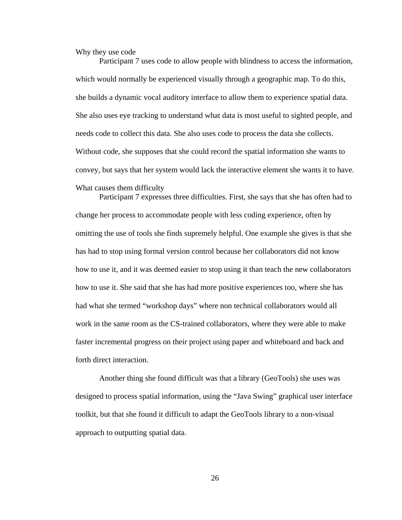Why they use code

Participant 7 uses code to allow people with blindness to access the information, which would normally be experienced visually through a geographic map. To do this, she builds a dynamic vocal auditory interface to allow them to experience spatial data. She also uses eye tracking to understand what data is most useful to sighted people, and needs code to collect this data. She also uses code to process the data she collects. Without code, she supposes that she could record the spatial information she wants to convey, but says that her system would lack the interactive element she wants it to have. What causes them difficulty

Participant 7 expresses three difficulties. First, she says that she has often had to change her process to accommodate people with less coding experience, often by omitting the use of tools she finds supremely helpful. One example she gives is that she has had to stop using formal version control because her collaborators did not know how to use it, and it was deemed easier to stop using it than teach the new collaborators how to use it. She said that she has had more positive experiences too, where she has had what she termed "workshop days" where non technical collaborators would all work in the same room as the CS-trained collaborators, where they were able to make faster incremental progress on their project using paper and whiteboard and back and forth direct interaction.

Another thing she found difficult was that a library (GeoTools) she uses was designed to process spatial information, using the "Java Swing" graphical user interface toolkit, but that she found it difficult to adapt the GeoTools library to a non-visual approach to outputting spatial data.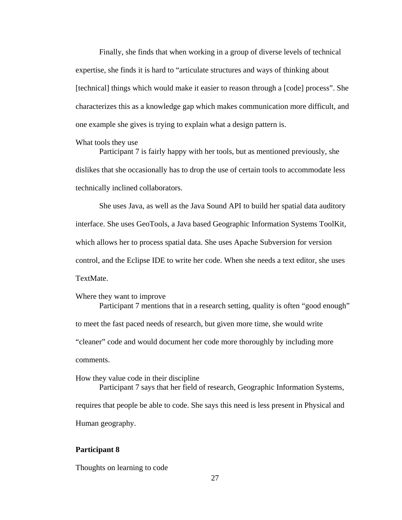Finally, she finds that when working in a group of diverse levels of technical expertise, she finds it is hard to "articulate structures and ways of thinking about [technical] things which would make it easier to reason through a [code] process". She characterizes this as a knowledge gap which makes communication more difficult, and one example she gives is trying to explain what a design pattern is.

#### What tools they use

Participant 7 is fairly happy with her tools, but as mentioned previously, she dislikes that she occasionally has to drop the use of certain tools to accommodate less technically inclined collaborators.

She uses Java, as well as the Java Sound API to build her spatial data auditory interface. She uses GeoTools, a Java based Geographic Information Systems ToolKit, which allows her to process spatial data. She uses Apache Subversion for version control, and the Eclipse IDE to write her code. When she needs a text editor, she uses TextMate.

Where they want to improve

Participant 7 mentions that in a research setting, quality is often "good enough" to meet the fast paced needs of research, but given more time, she would write "cleaner" code and would document her code more thoroughly by including more comments.

How they value code in their discipline

Participant 7 says that her field of research, Geographic Information Systems, requires that people be able to code. She says this need is less present in Physical and Human geography.

# **Participant 8**

Thoughts on learning to code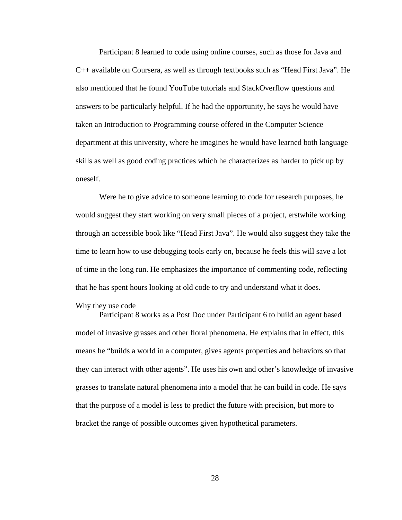Participant 8 learned to code using online courses, such as those for Java and C++ available on Coursera, as well as through textbooks such as "Head First Java". He also mentioned that he found YouTube tutorials and StackOverflow questions and answers to be particularly helpful. If he had the opportunity, he says he would have taken an Introduction to Programming course offered in the Computer Science department at this university, where he imagines he would have learned both language skills as well as good coding practices which he characterizes as harder to pick up by oneself.

Were he to give advice to someone learning to code for research purposes, he would suggest they start working on very small pieces of a project, erstwhile working through an accessible book like "Head First Java". He would also suggest they take the time to learn how to use debugging tools early on, because he feels this will save a lot of time in the long run. He emphasizes the importance of commenting code, reflecting that he has spent hours looking at old code to try and understand what it does.

## Why they use code

Participant 8 works as a Post Doc under Participant 6 to build an agent based model of invasive grasses and other floral phenomena. He explains that in effect, this means he "builds a world in a computer, gives agents properties and behaviors so that they can interact with other agents". He uses his own and other's knowledge of invasive grasses to translate natural phenomena into a model that he can build in code. He says that the purpose of a model is less to predict the future with precision, but more to bracket the range of possible outcomes given hypothetical parameters.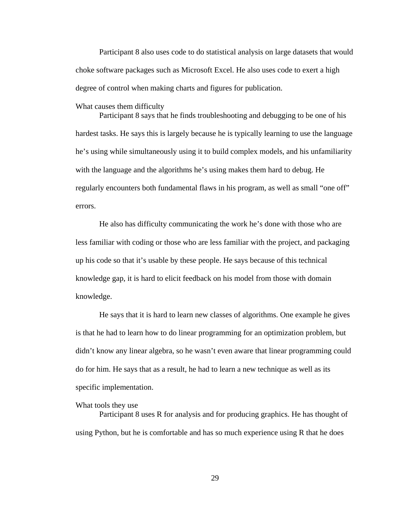Participant 8 also uses code to do statistical analysis on large datasets that would choke software packages such as Microsoft Excel. He also uses code to exert a high degree of control when making charts and figures for publication.

What causes them difficulty

Participant 8 says that he finds troubleshooting and debugging to be one of his hardest tasks. He says this is largely because he is typically learning to use the language he's using while simultaneously using it to build complex models, and his unfamiliarity with the language and the algorithms he's using makes them hard to debug. He regularly encounters both fundamental flaws in his program, as well as small "one off" errors.

He also has difficulty communicating the work he's done with those who are less familiar with coding or those who are less familiar with the project, and packaging up his code so that it's usable by these people. He says because of this technical knowledge gap, it is hard to elicit feedback on his model from those with domain knowledge.

He says that it is hard to learn new classes of algorithms. One example he gives is that he had to learn how to do linear programming for an optimization problem, but didn't know any linear algebra, so he wasn't even aware that linear programming could do for him. He says that as a result, he had to learn a new technique as well as its specific implementation.

#### What tools they use

Participant 8 uses R for analysis and for producing graphics. He has thought of using Python, but he is comfortable and has so much experience using R that he does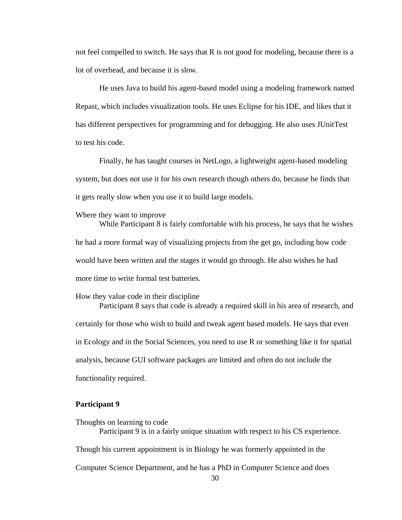not feel compelled to switch. He says that R is not good for modeling, because there is a lot of overhead, and because it is slow.

He uses Java to build his agent-based model using a modeling framework named Repast, which includes visualization tools. He uses Eclipse for his IDE, and likes that it has different perspectives for programming and for debugging. He also uses JUnitTest to test his code.

Finally, he has taught courses in NetLogo, a lightweight agent-based modeling system, but does not use it for his own research though others do, because he finds that it gets really slow when you use it to build large models.

#### Where they want to improve

While Participant 8 is fairly comfortable with his process, he says that he wishes he had a more formal way of visualizing projects from the get go, including how code would have been written and the stages it would go through. He also wishes he had more time to write formal test batteries.

#### How they value code in their discipline

Participant 8 says that code is already a required skill in his area of research, and certainly for those who wish to build and tweak agent based models. He says that even in Ecology and in the Social Sciences, you need to use R or something like it for spatial analysis, because GUI software packages are limited and often do not include the functionality required.

### **Participant 9**

Thoughts on learning to code Participant 9 is in a fairly unique situation with respect to his CS experience. Though his current appointment is in Biology he was formerly appointed in the Computer Science Department, and he has a PhD in Computer Science and does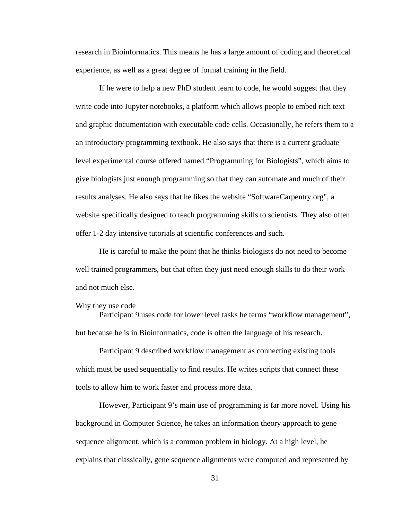research in Bioinformatics. This means he has a large amount of coding and theoretical experience, as well as a great degree of formal training in the field.

If he were to help a new PhD student learn to code, he would suggest that they write code into Jupyter notebooks, a platform which allows people to embed rich text and graphic documentation with executable code cells. Occasionally, he refers them to a an introductory programming textbook. He also says that there is a current graduate level experimental course offered named "Programming for Biologists", which aims to give biologists just enough programming so that they can automate and much of their results analyses. He also says that he likes the website "SoftwareCarpentry.org", a website specifically designed to teach programming skills to scientists. They also often offer 1-2 day intensive tutorials at scientific conferences and such.

He is careful to make the point that he thinks biologists do not need to become well trained programmers, but that often they just need enough skills to do their work and not much else.

#### Why they use code

Participant 9 uses code for lower level tasks he terms "workflow management", but because he is in Bioinformatics, code is often the language of his research.

Participant 9 described workflow management as connecting existing tools which must be used sequentially to find results. He writes scripts that connect these tools to allow him to work faster and process more data.

However, Participant 9's main use of programming is far more novel. Using his background in Computer Science, he takes an information theory approach to gene sequence alignment, which is a common problem in biology. At a high level, he explains that classically, gene sequence alignments were computed and represented by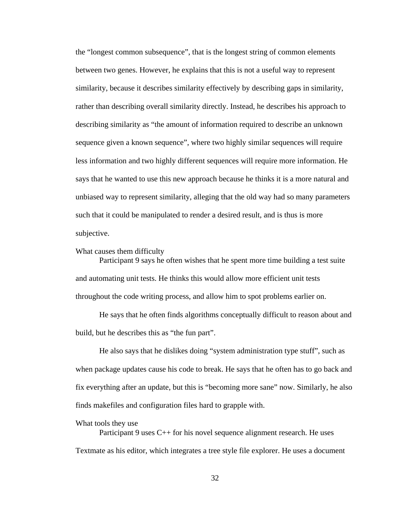the "longest common subsequence", that is the longest string of common elements between two genes. However, he explains that this is not a useful way to represent similarity, because it describes similarity effectively by describing gaps in similarity, rather than describing overall similarity directly. Instead, he describes his approach to describing similarity as "the amount of information required to describe an unknown sequence given a known sequence", where two highly similar sequences will require less information and two highly different sequences will require more information. He says that he wanted to use this new approach because he thinks it is a more natural and unbiased way to represent similarity, alleging that the old way had so many parameters such that it could be manipulated to render a desired result, and is thus is more subjective.

#### What causes them difficulty

Participant 9 says he often wishes that he spent more time building a test suite and automating unit tests. He thinks this would allow more efficient unit tests throughout the code writing process, and allow him to spot problems earlier on.

He says that he often finds algorithms conceptually difficult to reason about and build, but he describes this as "the fun part".

He also says that he dislikes doing "system administration type stuff", such as when package updates cause his code to break. He says that he often has to go back and fix everything after an update, but this is "becoming more sane" now. Similarly, he also finds makefiles and configuration files hard to grapple with.

#### What tools they use

Participant 9 uses C++ for his novel sequence alignment research. He uses Textmate as his editor, which integrates a tree style file explorer. He uses a document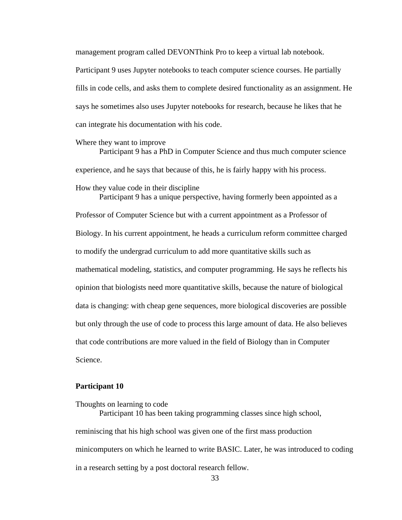management program called DEVONThink Pro to keep a virtual lab notebook.

Participant 9 uses Jupyter notebooks to teach computer science courses. He partially fills in code cells, and asks them to complete desired functionality as an assignment. He says he sometimes also uses Jupyter notebooks for research, because he likes that he can integrate his documentation with his code.

#### Where they want to improve

Participant 9 has a PhD in Computer Science and thus much computer science experience, and he says that because of this, he is fairly happy with his process. How they value code in their discipline

Participant 9 has a unique perspective, having formerly been appointed as a Professor of Computer Science but with a current appointment as a Professor of Biology. In his current appointment, he heads a curriculum reform committee charged to modify the undergrad curriculum to add more quantitative skills such as mathematical modeling, statistics, and computer programming. He says he reflects his opinion that biologists need more quantitative skills, because the nature of biological data is changing: with cheap gene sequences, more biological discoveries are possible but only through the use of code to process this large amount of data. He also believes that code contributions are more valued in the field of Biology than in Computer Science.

## **Participant 10**

Thoughts on learning to code

Participant 10 has been taking programming classes since high school, reminiscing that his high school was given one of the first mass production minicomputers on which he learned to write BASIC. Later, he was introduced to coding in a research setting by a post doctoral research fellow.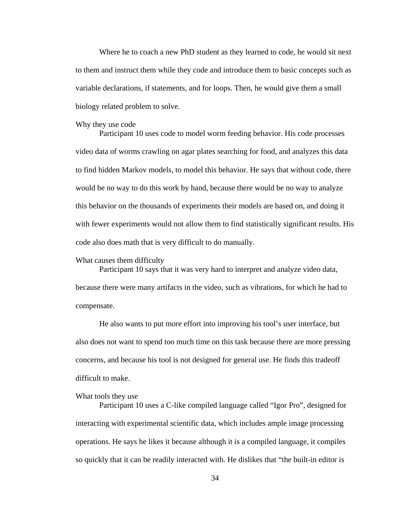Where he to coach a new PhD student as they learned to code, he would sit next to them and instruct them while they code and introduce them to basic concepts such as variable declarations, if statements, and for loops. Then, he would give them a small biology related problem to solve.

#### Why they use code

Participant 10 uses code to model worm feeding behavior. His code processes video data of worms crawling on agar plates searching for food, and analyzes this data to find hidden Markov models, to model this behavior. He says that without code, there would be no way to do this work by hand, because there would be no way to analyze this behavior on the thousands of experiments their models are based on, and doing it with fewer experiments would not allow them to find statistically significant results. His code also does math that is very difficult to do manually.

### What causes them difficulty

Participant 10 says that it was very hard to interpret and analyze video data, because there were many artifacts in the video, such as vibrations, for which he had to compensate.

He also wants to put more effort into improving his tool's user interface, but also does not want to spend too much time on this task because there are more pressing concerns, and because his tool is not designed for general use. He finds this tradeoff difficult to make.

#### What tools they use

Participant 10 uses a C-like compiled language called "Igor Pro", designed for interacting with experimental scientific data, which includes ample image processing operations. He says he likes it because although it is a compiled language, it compiles so quickly that it can be readily interacted with. He dislikes that "the built-in editor is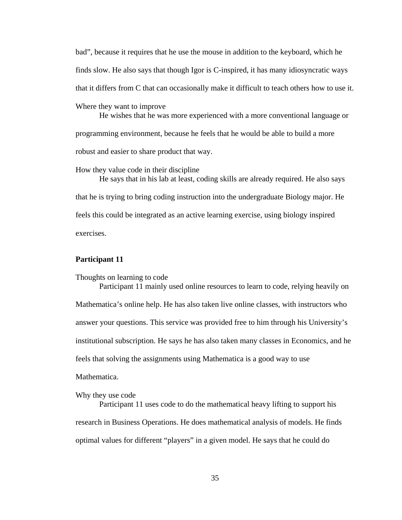bad", because it requires that he use the mouse in addition to the keyboard, which he finds slow. He also says that though Igor is C-inspired, it has many idiosyncratic ways that it differs from C that can occasionally make it difficult to teach others how to use it. Where they want to improve He wishes that he was more experienced with a more conventional language or programming environment, because he feels that he would be able to build a more

robust and easier to share product that way.

How they value code in their discipline

He says that in his lab at least, coding skills are already required. He also says that he is trying to bring coding instruction into the undergraduate Biology major. He feels this could be integrated as an active learning exercise, using biology inspired exercises.

### **Participant 11**

Thoughts on learning to code

Participant 11 mainly used online resources to learn to code, relying heavily on Mathematica's online help. He has also taken live online classes, with instructors who answer your questions. This service was provided free to him through his University's institutional subscription. He says he has also taken many classes in Economics, and he feels that solving the assignments using Mathematica is a good way to use

Mathematica.

Why they use code

Participant 11 uses code to do the mathematical heavy lifting to support his research in Business Operations. He does mathematical analysis of models. He finds optimal values for different "players" in a given model. He says that he could do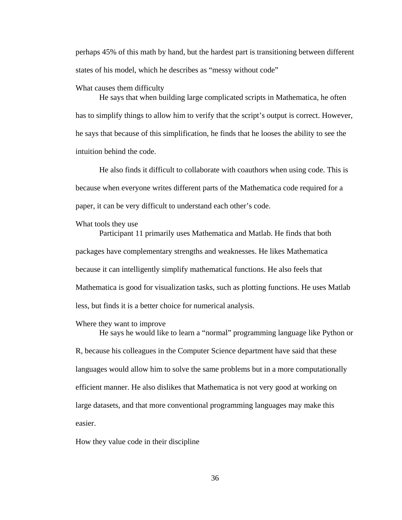perhaps 45% of this math by hand, but the hardest part is transitioning between different states of his model, which he describes as "messy without code"

What causes them difficulty

He says that when building large complicated scripts in Mathematica, he often has to simplify things to allow him to verify that the script's output is correct. However, he says that because of this simplification, he finds that he looses the ability to see the intuition behind the code.

He also finds it difficult to collaborate with coauthors when using code. This is because when everyone writes different parts of the Mathematica code required for a paper, it can be very difficult to understand each other's code.

What tools they use

Participant 11 primarily uses Mathematica and Matlab. He finds that both packages have complementary strengths and weaknesses. He likes Mathematica because it can intelligently simplify mathematical functions. He also feels that Mathematica is good for visualization tasks, such as plotting functions. He uses Matlab less, but finds it is a better choice for numerical analysis.

#### Where they want to improve

He says he would like to learn a "normal" programming language like Python or R, because his colleagues in the Computer Science department have said that these languages would allow him to solve the same problems but in a more computationally efficient manner. He also dislikes that Mathematica is not very good at working on large datasets, and that more conventional programming languages may make this easier.

How they value code in their discipline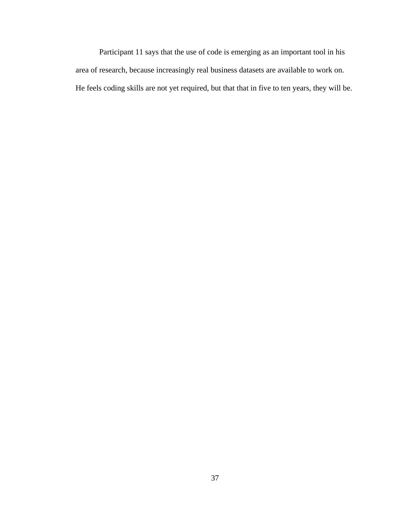Participant 11 says that the use of code is emerging as an important tool in his area of research, because increasingly real business datasets are available to work on. He feels coding skills are not yet required, but that that in five to ten years, they will be.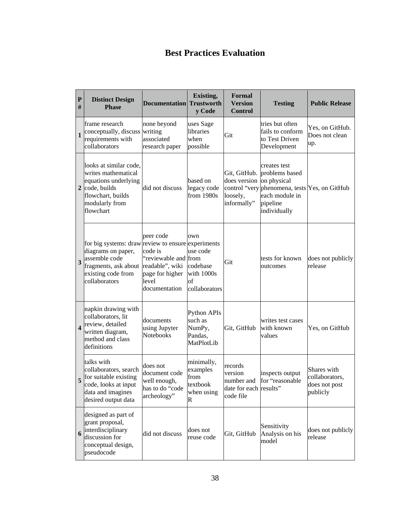# **Best Practices Evaluation**

| ${\bf P}$<br>#          | <b>Distinct Design</b><br><b>Phase</b>                                                                                                                                   | <b>Documentation</b>                                                                      | Existing,<br><b>Trustworth</b><br>y Code                                | <b>Formal</b><br><b>Version</b><br><b>Control</b>                        | <b>Testing</b>                                                                                                                 | <b>Public Release</b>                                      |
|-------------------------|--------------------------------------------------------------------------------------------------------------------------------------------------------------------------|-------------------------------------------------------------------------------------------|-------------------------------------------------------------------------|--------------------------------------------------------------------------|--------------------------------------------------------------------------------------------------------------------------------|------------------------------------------------------------|
| $\mathbf{1}$            | frame research<br>conceptually, discuss writing<br>requirements with<br>collaborators                                                                                    | none beyond<br>associated<br>research paper                                               | uses Sage<br>libraries<br>when<br>possible                              | Git                                                                      | tries but often<br>fails to conform<br>to Test Driven<br>Development                                                           | Yes, on GitHub.<br>Does not clean<br>up.                   |
| $\boldsymbol{2}$        | looks at similar code,<br>writes mathematical<br>equations underlying<br>code, builds<br>flowchart, builds<br>modularly from<br>flowchart                                | did not discuss                                                                           | based on<br>legacy code<br>from $1980s$                                 | Git, GitHub.<br>does version<br>control "very<br>loosely,<br>informally" | creates test<br>problems based<br>on physical<br>phenomena, tests Yes, on GitHub<br>each module in<br>pipeline<br>individually |                                                            |
| 3                       | for big systems: draw review to ensure experiments<br>diagrams on paper,<br>assemble code<br>fragments, ask about readable", wiki<br>existing code from<br>collaborators | peer code<br>code is<br>"reviewable and from<br>page for higher<br>level<br>documentation | own<br>use code<br>codebase<br>with 1000s<br>of<br>collaborators        | Git                                                                      | tests for known<br>outcomes                                                                                                    | does not publicly<br>release                               |
| $\overline{\mathbf{4}}$ | napkin drawing with<br>collaborators, lit<br>review, detailed<br>written diagram,<br>method and class<br>definitions                                                     | documents<br>using Jupyter<br>Notebooks                                                   | Python APIs<br>such as<br>NumPy,<br>Pandas,<br>MatPlotLib               | Git, GitHub                                                              | writes test cases<br>with known<br>values                                                                                      | Yes, on GitHub                                             |
| 5                       | talks with<br>collaborators, search<br>for suitable existing<br>code, looks at input<br>data and imagines<br>desired output data                                         | does not<br>document code<br>well enough,<br>has to do "code<br>archeology"               | minimally,<br>examples<br>from<br>textbook<br>when using<br>$\mathbf R$ | records<br>version<br>number and<br>date for each results"<br>code file  | inspects output<br>for "reasonable                                                                                             | Shares with<br>collaborators,<br>does not post<br>publicly |
| 6                       | designed as part of<br>grant proposal,<br>interdisciplinary<br>discussion for<br>conceptual design,<br>pseudocode                                                        | did not discuss                                                                           | does not<br>reuse code                                                  | Git, GitHub                                                              | Sensitivity<br>Analysis on his<br>model                                                                                        | does not publicly<br>release                               |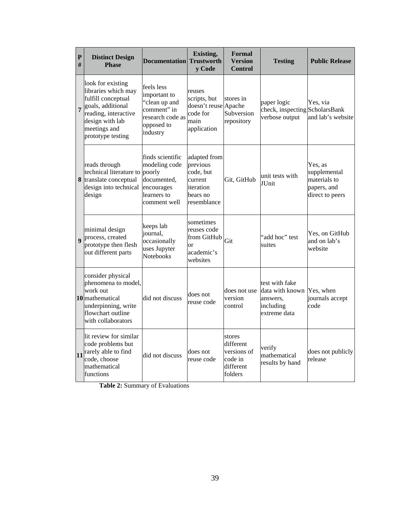| $\mathbf{P}$<br># | <b>Distinct Design</b><br><b>Phase</b>                                                                                                                              | <b>Documentation</b> Trustworth                                                                          | Existing,<br>v Code                                                                      | Formal<br><b>Version</b><br>Control                                   | <b>Testing</b>                                                             | <b>Public Release</b>                                                     |
|-------------------|---------------------------------------------------------------------------------------------------------------------------------------------------------------------|----------------------------------------------------------------------------------------------------------|------------------------------------------------------------------------------------------|-----------------------------------------------------------------------|----------------------------------------------------------------------------|---------------------------------------------------------------------------|
| $\overline{7}$    | look for existing<br>libraries which may<br>fulfill conceptual<br>goals, additional<br>reading, interactive<br>design with lab<br>meetings and<br>prototype testing | feels less<br>important to<br>"clean up and<br>comment" in<br>research code as<br>opposed to<br>industry | reuses<br>scripts, but<br>doesn't reuse Apache<br>code for<br>main<br>application        | stores in<br>Subversion<br>repository                                 | paper logic<br>check, inspecting ScholarsBank<br>verbose output            | Yes, via<br>and lab's website                                             |
|                   | reads through<br>technical literature to<br>8 translate conceptual<br>design into technical<br>design                                                               | finds scientific<br>modeling code<br>poorly<br>documented,<br>encourages<br>learners to<br>comment well  | adapted from<br>previous<br>code, but<br>current<br>iteration<br>bears no<br>resemblance | Git, GitHub                                                           | unit tests with<br>JUnit                                                   | Yes, as<br>supplemental<br>materials to<br>papers, and<br>direct to peers |
| $\boldsymbol{9}$  | minimal design<br>process, created<br>prototype then flesh<br>out different parts                                                                                   | keeps lab<br>journal,<br>occasionally<br>uses Jupyter<br><b>Notebooks</b>                                | sometimes<br>reuses code<br>from GitHub<br><sub>or</sub><br>academic's<br>websites       | Git                                                                   | "add hoc" test<br>suites                                                   | Yes, on GitHub<br>and on lab's<br>website                                 |
|                   | consider physical<br>phenomena to model,<br>work out<br>10 mathematical<br>underpinning, write<br>flowchart outline<br>with collaborators                           | did not discuss                                                                                          | does not<br>reuse code                                                                   | does not use<br>version<br>control                                    | test with fake<br>data with known<br>answers,<br>including<br>extreme data | Yes, when<br>journals accept<br>code                                      |
|                   | lit review for similar<br>code problems but<br>$\boxed{11}$ rarely able to find<br>code, choose<br>mathematical<br>functions                                        | did not discuss                                                                                          | does not<br>reuse code                                                                   | stores<br>different<br>versions of<br>code in<br>different<br>folders | verify<br>mathematical<br>results by hand                                  | does not publicly<br>release                                              |

**Table 2:** Summary of Evaluations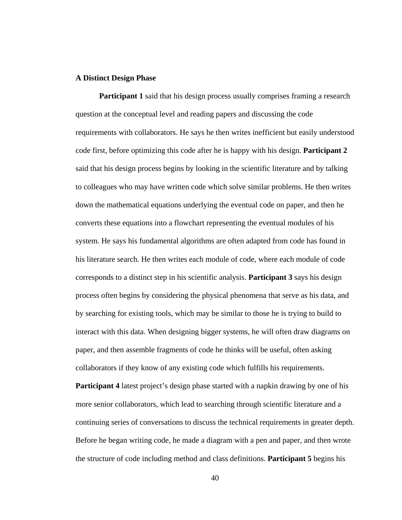#### **A Distinct Design Phase**

**Participant 1** said that his design process usually comprises framing a research question at the conceptual level and reading papers and discussing the code requirements with collaborators. He says he then writes inefficient but easily understood code first, before optimizing this code after he is happy with his design. **Participant 2** said that his design process begins by looking in the scientific literature and by talking to colleagues who may have written code which solve similar problems. He then writes down the mathematical equations underlying the eventual code on paper, and then he converts these equations into a flowchart representing the eventual modules of his system. He says his fundamental algorithms are often adapted from code has found in his literature search. He then writes each module of code, where each module of code corresponds to a distinct step in his scientific analysis. **Participant 3** says his design process often begins by considering the physical phenomena that serve as his data, and by searching for existing tools, which may be similar to those he is trying to build to interact with this data. When designing bigger systems, he will often draw diagrams on paper, and then assemble fragments of code he thinks will be useful, often asking collaborators if they know of any existing code which fulfills his requirements.

**Participant 4** latest project's design phase started with a napkin drawing by one of his more senior collaborators, which lead to searching through scientific literature and a continuing series of conversations to discuss the technical requirements in greater depth. Before he began writing code, he made a diagram with a pen and paper, and then wrote the structure of code including method and class definitions. **Participant 5** begins his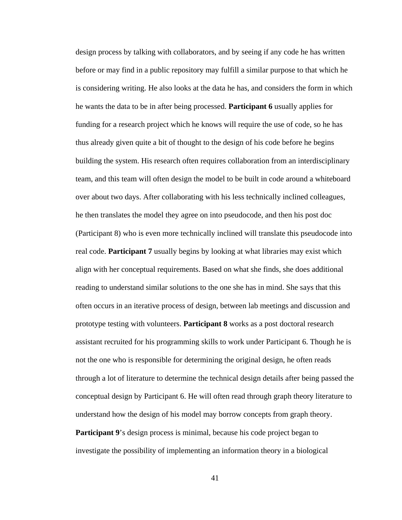design process by talking with collaborators, and by seeing if any code he has written before or may find in a public repository may fulfill a similar purpose to that which he is considering writing. He also looks at the data he has, and considers the form in which he wants the data to be in after being processed. **Participant 6** usually applies for funding for a research project which he knows will require the use of code, so he has thus already given quite a bit of thought to the design of his code before he begins building the system. His research often requires collaboration from an interdisciplinary team, and this team will often design the model to be built in code around a whiteboard over about two days. After collaborating with his less technically inclined colleagues, he then translates the model they agree on into pseudocode, and then his post doc (Participant 8) who is even more technically inclined will translate this pseudocode into real code. **Participant 7** usually begins by looking at what libraries may exist which align with her conceptual requirements. Based on what she finds, she does additional reading to understand similar solutions to the one she has in mind. She says that this often occurs in an iterative process of design, between lab meetings and discussion and prototype testing with volunteers. **Participant 8** works as a post doctoral research assistant recruited for his programming skills to work under Participant 6. Though he is not the one who is responsible for determining the original design, he often reads through a lot of literature to determine the technical design details after being passed the conceptual design by Participant 6. He will often read through graph theory literature to understand how the design of his model may borrow concepts from graph theory. **Participant 9**'s design process is minimal, because his code project began to investigate the possibility of implementing an information theory in a biological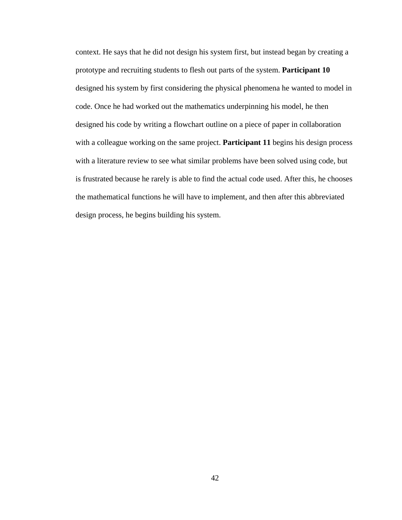context. He says that he did not design his system first, but instead began by creating a prototype and recruiting students to flesh out parts of the system. **Participant 10** designed his system by first considering the physical phenomena he wanted to model in code. Once he had worked out the mathematics underpinning his model, he then designed his code by writing a flowchart outline on a piece of paper in collaboration with a colleague working on the same project. **Participant 11** begins his design process with a literature review to see what similar problems have been solved using code, but is frustrated because he rarely is able to find the actual code used. After this, he chooses the mathematical functions he will have to implement, and then after this abbreviated design process, he begins building his system.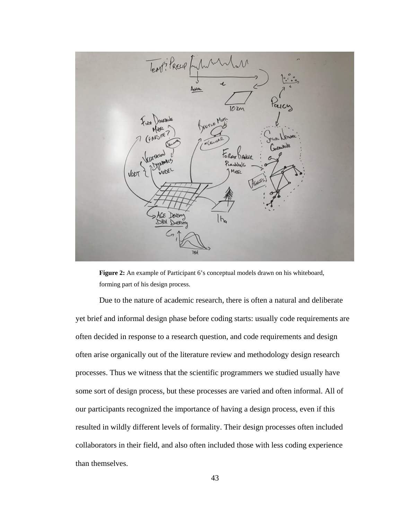

**Figure 2:** An example of Participant 6's conceptual models drawn on his whiteboard, forming part of his design process.

Due to the nature of academic research, there is often a natural and deliberate yet brief and informal design phase before coding starts: usually code requirements are often decided in response to a research question, and code requirements and design often arise organically out of the literature review and methodology design research processes. Thus we witness that the scientific programmers we studied usually have some sort of design process, but these processes are varied and often informal. All of our participants recognized the importance of having a design process, even if this resulted in wildly different levels of formality. Their design processes often included collaborators in their field, and also often included those with less coding experience than themselves.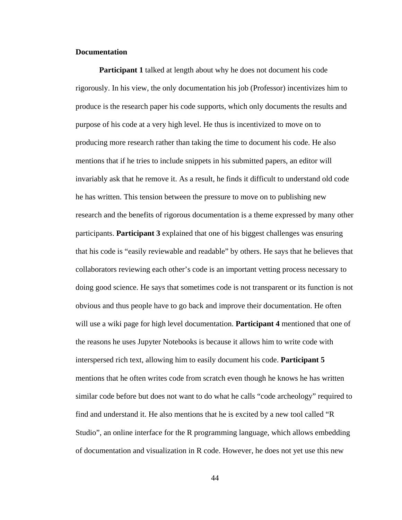### **Documentation**

**Participant 1** talked at length about why he does not document his code rigorously. In his view, the only documentation his job (Professor) incentivizes him to produce is the research paper his code supports, which only documents the results and purpose of his code at a very high level. He thus is incentivized to move on to producing more research rather than taking the time to document his code. He also mentions that if he tries to include snippets in his submitted papers, an editor will invariably ask that he remove it. As a result, he finds it difficult to understand old code he has written. This tension between the pressure to move on to publishing new research and the benefits of rigorous documentation is a theme expressed by many other participants. **Participant 3** explained that one of his biggest challenges was ensuring that his code is "easily reviewable and readable" by others. He says that he believes that collaborators reviewing each other's code is an important vetting process necessary to doing good science. He says that sometimes code is not transparent or its function is not obvious and thus people have to go back and improve their documentation. He often will use a wiki page for high level documentation. **Participant 4** mentioned that one of the reasons he uses Jupyter Notebooks is because it allows him to write code with interspersed rich text, allowing him to easily document his code. **Participant 5** mentions that he often writes code from scratch even though he knows he has written similar code before but does not want to do what he calls "code archeology" required to find and understand it. He also mentions that he is excited by a new tool called "R Studio", an online interface for the R programming language, which allows embedding of documentation and visualization in R code. However, he does not yet use this new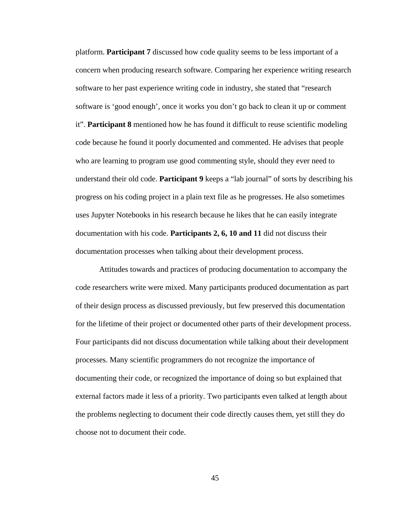platform. **Participant 7** discussed how code quality seems to be less important of a concern when producing research software. Comparing her experience writing research software to her past experience writing code in industry, she stated that "research software is 'good enough', once it works you don't go back to clean it up or comment it". **Participant 8** mentioned how he has found it difficult to reuse scientific modeling code because he found it poorly documented and commented. He advises that people who are learning to program use good commenting style, should they ever need to understand their old code. **Participant 9** keeps a "lab journal" of sorts by describing his progress on his coding project in a plain text file as he progresses. He also sometimes uses Jupyter Notebooks in his research because he likes that he can easily integrate documentation with his code. **Participants 2, 6, 10 and 11** did not discuss their documentation processes when talking about their development process.

Attitudes towards and practices of producing documentation to accompany the code researchers write were mixed. Many participants produced documentation as part of their design process as discussed previously, but few preserved this documentation for the lifetime of their project or documented other parts of their development process. Four participants did not discuss documentation while talking about their development processes. Many scientific programmers do not recognize the importance of documenting their code, or recognized the importance of doing so but explained that external factors made it less of a priority. Two participants even talked at length about the problems neglecting to document their code directly causes them, yet still they do choose not to document their code.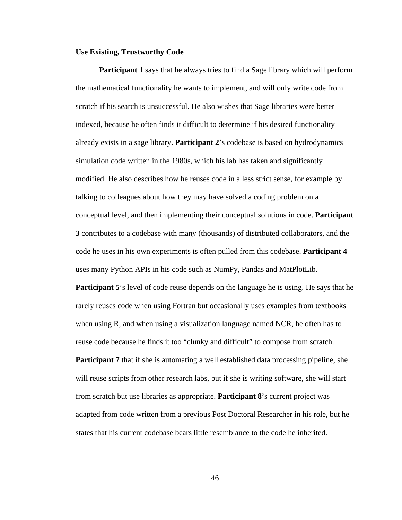### **Use Existing, Trustworthy Code**

**Participant 1** says that he always tries to find a Sage library which will perform the mathematical functionality he wants to implement, and will only write code from scratch if his search is unsuccessful. He also wishes that Sage libraries were better indexed, because he often finds it difficult to determine if his desired functionality already exists in a sage library. **Participant 2**'s codebase is based on hydrodynamics simulation code written in the 1980s, which his lab has taken and significantly modified. He also describes how he reuses code in a less strict sense, for example by talking to colleagues about how they may have solved a coding problem on a conceptual level, and then implementing their conceptual solutions in code. **Participant 3** contributes to a codebase with many (thousands) of distributed collaborators, and the code he uses in his own experiments is often pulled from this codebase. **Participant 4** uses many Python APIs in his code such as NumPy, Pandas and MatPlotLib.

**Participant 5**'s level of code reuse depends on the language he is using. He says that he rarely reuses code when using Fortran but occasionally uses examples from textbooks when using R, and when using a visualization language named NCR, he often has to reuse code because he finds it too "clunky and difficult" to compose from scratch. **Participant 7** that if she is automating a well established data processing pipeline, she will reuse scripts from other research labs, but if she is writing software, she will start from scratch but use libraries as appropriate. **Participant 8**'s current project was adapted from code written from a previous Post Doctoral Researcher in his role, but he states that his current codebase bears little resemblance to the code he inherited.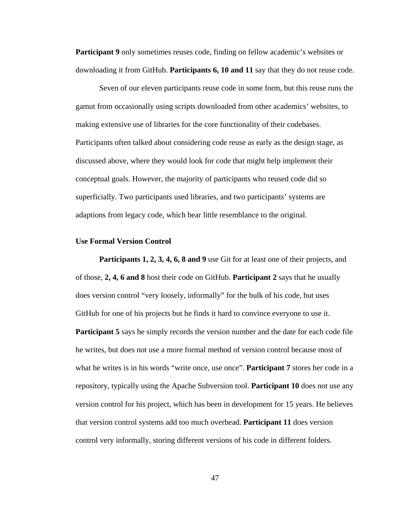**Participant 9** only sometimes reuses code, finding on fellow academic's websites or downloading it from GitHub. **Participants 6, 10 and 11** say that they do not reuse code.

Seven of our eleven participants reuse code in some form, but this reuse runs the gamut from occasionally using scripts downloaded from other academics' websites, to making extensive use of libraries for the core functionality of their codebases. Participants often talked about considering code reuse as early as the design stage, as discussed above, where they would look for code that might help implement their conceptual goals. However, the majority of participants who reused code did so superficially. Two participants used libraries, and two participants' systems are adaptions from legacy code, which bear little resemblance to the original.

#### **Use Formal Version Control**

**Participants 1, 2, 3, 4, 6, 8 and 9** use Git for at least one of their projects, and of those, **2, 4, 6 and 8** host their code on GitHub. **Participant 2** says that he usually does version control "very loosely, informally" for the bulk of his code, but uses GitHub for one of his projects but he finds it hard to convince everyone to use it. **Participant 5** says he simply records the version number and the date for each code file he writes, but does not use a more formal method of version control because most of what he writes is in his words "write once, use once". **Participant 7** stores her code in a repository, typically using the Apache Subversion tool. **Participant 10** does not use any version control for his project, which has been in development for 15 years. He believes that version control systems add too much overhead. **Participant 11** does version control very informally, storing different versions of his code in different folders.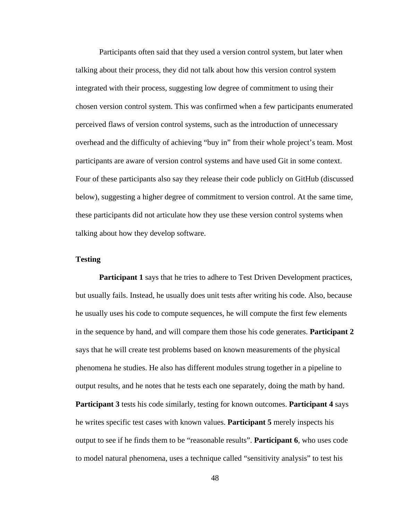Participants often said that they used a version control system, but later when talking about their process, they did not talk about how this version control system integrated with their process, suggesting low degree of commitment to using their chosen version control system. This was confirmed when a few participants enumerated perceived flaws of version control systems, such as the introduction of unnecessary overhead and the difficulty of achieving "buy in" from their whole project's team. Most participants are aware of version control systems and have used Git in some context. Four of these participants also say they release their code publicly on GitHub (discussed below), suggesting a higher degree of commitment to version control. At the same time, these participants did not articulate how they use these version control systems when talking about how they develop software.

## **Testing**

**Participant 1** says that he tries to adhere to Test Driven Development practices, but usually fails. Instead, he usually does unit tests after writing his code. Also, because he usually uses his code to compute sequences, he will compute the first few elements in the sequence by hand, and will compare them those his code generates. **Participant 2** says that he will create test problems based on known measurements of the physical phenomena he studies. He also has different modules strung together in a pipeline to output results, and he notes that he tests each one separately, doing the math by hand. **Participant 3** tests his code similarly, testing for known outcomes. **Participant 4** says he writes specific test cases with known values. **Participant 5** merely inspects his output to see if he finds them to be "reasonable results". **Participant 6**, who uses code to model natural phenomena, uses a technique called "sensitivity analysis" to test his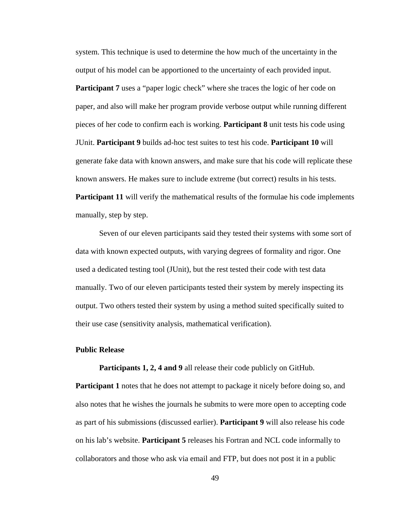system. This technique is used to determine the how much of the uncertainty in the output of his model can be apportioned to the uncertainty of each provided input.

**Participant 7** uses a "paper logic check" where she traces the logic of her code on paper, and also will make her program provide verbose output while running different pieces of her code to confirm each is working. **Participant 8** unit tests his code using JUnit. **Participant 9** builds ad-hoc test suites to test his code. **Participant 10** will generate fake data with known answers, and make sure that his code will replicate these known answers. He makes sure to include extreme (but correct) results in his tests. **Participant 11** will verify the mathematical results of the formulae his code implements manually, step by step.

Seven of our eleven participants said they tested their systems with some sort of data with known expected outputs, with varying degrees of formality and rigor. One used a dedicated testing tool (JUnit), but the rest tested their code with test data manually. Two of our eleven participants tested their system by merely inspecting its output. Two others tested their system by using a method suited specifically suited to their use case (sensitivity analysis, mathematical verification).

#### **Public Release**

**Participants 1, 2, 4 and 9** all release their code publicly on GitHub.

**Participant 1** notes that he does not attempt to package it nicely before doing so, and also notes that he wishes the journals he submits to were more open to accepting code as part of his submissions (discussed earlier). **Participant 9** will also release his code on his lab's website. **Participant 5** releases his Fortran and NCL code informally to collaborators and those who ask via email and FTP, but does not post it in a public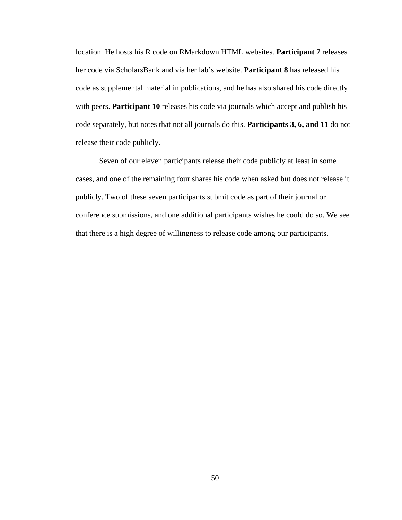location. He hosts his R code on RMarkdown HTML websites. **Participant 7** releases her code via ScholarsBank and via her lab's website. **Participant 8** has released his code as supplemental material in publications, and he has also shared his code directly with peers. **Participant 10** releases his code via journals which accept and publish his code separately, but notes that not all journals do this. **Participants 3, 6, and 11** do not release their code publicly.

Seven of our eleven participants release their code publicly at least in some cases, and one of the remaining four shares his code when asked but does not release it publicly. Two of these seven participants submit code as part of their journal or conference submissions, and one additional participants wishes he could do so. We see that there is a high degree of willingness to release code among our participants.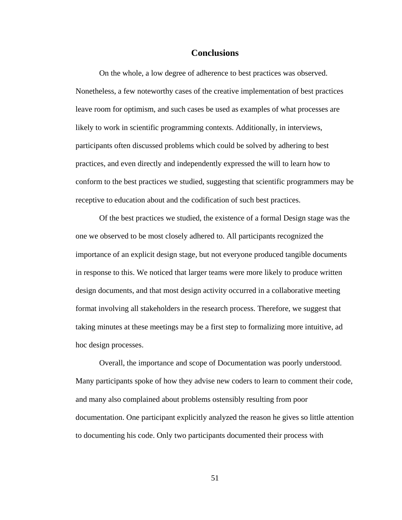## **Conclusions**

On the whole, a low degree of adherence to best practices was observed. Nonetheless, a few noteworthy cases of the creative implementation of best practices leave room for optimism, and such cases be used as examples of what processes are likely to work in scientific programming contexts. Additionally, in interviews, participants often discussed problems which could be solved by adhering to best practices, and even directly and independently expressed the will to learn how to conform to the best practices we studied, suggesting that scientific programmers may be receptive to education about and the codification of such best practices.

Of the best practices we studied, the existence of a formal Design stage was the one we observed to be most closely adhered to. All participants recognized the importance of an explicit design stage, but not everyone produced tangible documents in response to this. We noticed that larger teams were more likely to produce written design documents, and that most design activity occurred in a collaborative meeting format involving all stakeholders in the research process. Therefore, we suggest that taking minutes at these meetings may be a first step to formalizing more intuitive, ad hoc design processes.

Overall, the importance and scope of Documentation was poorly understood. Many participants spoke of how they advise new coders to learn to comment their code, and many also complained about problems ostensibly resulting from poor documentation. One participant explicitly analyzed the reason he gives so little attention to documenting his code. Only two participants documented their process with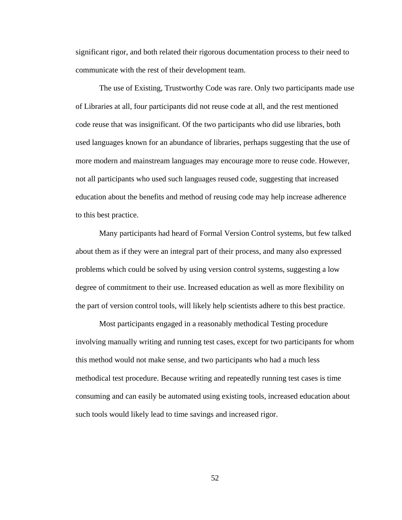significant rigor, and both related their rigorous documentation process to their need to communicate with the rest of their development team.

The use of Existing, Trustworthy Code was rare. Only two participants made use of Libraries at all, four participants did not reuse code at all, and the rest mentioned code reuse that was insignificant. Of the two participants who did use libraries, both used languages known for an abundance of libraries, perhaps suggesting that the use of more modern and mainstream languages may encourage more to reuse code. However, not all participants who used such languages reused code, suggesting that increased education about the benefits and method of reusing code may help increase adherence to this best practice.

Many participants had heard of Formal Version Control systems, but few talked about them as if they were an integral part of their process, and many also expressed problems which could be solved by using version control systems, suggesting a low degree of commitment to their use. Increased education as well as more flexibility on the part of version control tools, will likely help scientists adhere to this best practice.

Most participants engaged in a reasonably methodical Testing procedure involving manually writing and running test cases, except for two participants for whom this method would not make sense, and two participants who had a much less methodical test procedure. Because writing and repeatedly running test cases is time consuming and can easily be automated using existing tools, increased education about such tools would likely lead to time savings and increased rigor.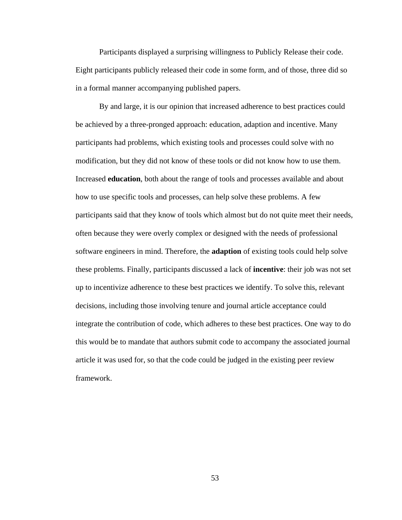Participants displayed a surprising willingness to Publicly Release their code. Eight participants publicly released their code in some form, and of those, three did so in a formal manner accompanying published papers.

By and large, it is our opinion that increased adherence to best practices could be achieved by a three-pronged approach: education, adaption and incentive. Many participants had problems, which existing tools and processes could solve with no modification, but they did not know of these tools or did not know how to use them. Increased **education**, both about the range of tools and processes available and about how to use specific tools and processes, can help solve these problems. A few participants said that they know of tools which almost but do not quite meet their needs, often because they were overly complex or designed with the needs of professional software engineers in mind. Therefore, the **adaption** of existing tools could help solve these problems. Finally, participants discussed a lack of **incentive**: their job was not set up to incentivize adherence to these best practices we identify. To solve this, relevant decisions, including those involving tenure and journal article acceptance could integrate the contribution of code, which adheres to these best practices. One way to do this would be to mandate that authors submit code to accompany the associated journal article it was used for, so that the code could be judged in the existing peer review framework.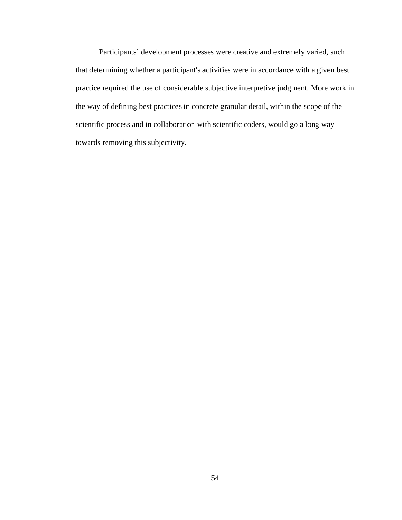Participants' development processes were creative and extremely varied, such that determining whether a participant's activities were in accordance with a given best practice required the use of considerable subjective interpretive judgment. More work in the way of defining best practices in concrete granular detail, within the scope of the scientific process and in collaboration with scientific coders, would go a long way towards removing this subjectivity.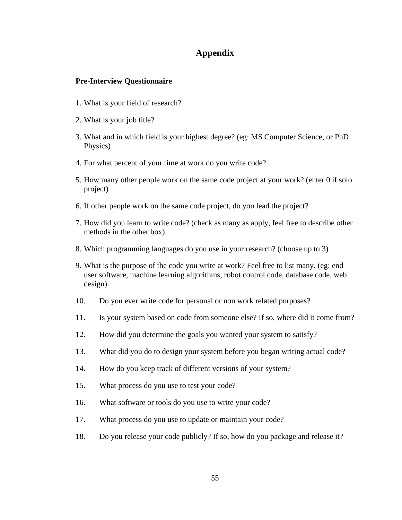# **Appendix**

## **Pre-Interview Questionnaire**

- 1. What is your field of research?
- 2. What is your job title?
- 3. What and in which field is your highest degree? (eg: MS Computer Science, or PhD Physics)
- 4. For what percent of your time at work do you write code?
- 5. How many other people work on the same code project at your work? (enter 0 if solo project)
- 6. If other people work on the same code project, do you lead the project?
- 7. How did you learn to write code? (check as many as apply, feel free to describe other methods in the other box)
- 8. Which programming languages do you use in your research? (choose up to 3)
- 9. What is the purpose of the code you write at work? Feel free to list many. (eg: end user software, machine learning algorithms, robot control code, database code, web design)
- 10. Do you ever write code for personal or non work related purposes?
- 11. Is your system based on code from someone else? If so, where did it come from?
- 12. How did you determine the goals you wanted your system to satisfy?
- 13. What did you do to design your system before you began writing actual code?
- 14. How do you keep track of different versions of your system?
- 15. What process do you use to test your code?
- 16. What software or tools do you use to write your code?
- 17. What process do you use to update or maintain your code?
- 18. Do you release your code publicly? If so, how do you package and release it?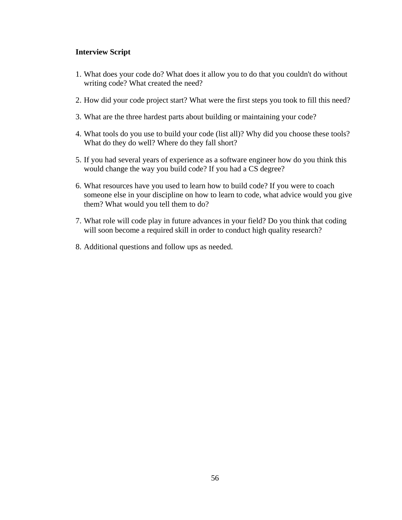# **Interview Script**

- 1. What does your code do? What does it allow you to do that you couldn't do without writing code? What created the need?
- 2. How did your code project start? What were the first steps you took to fill this need?
- 3. What are the three hardest parts about building or maintaining your code?
- 4. What tools do you use to build your code (list all)? Why did you choose these tools? What do they do well? Where do they fall short?
- 5. If you had several years of experience as a software engineer how do you think this would change the way you build code? If you had a CS degree?
- 6. What resources have you used to learn how to build code? If you were to coach someone else in your discipline on how to learn to code, what advice would you give them? What would you tell them to do?
- 7. What role will code play in future advances in your field? Do you think that coding will soon become a required skill in order to conduct high quality research?
- 8. Additional questions and follow ups as needed.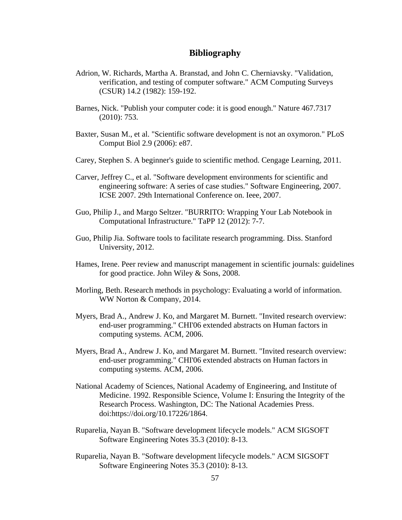# **Bibliography**

- Adrion, W. Richards, Martha A. Branstad, and John C. Cherniavsky. "Validation, verification, and testing of computer software." ACM Computing Surveys (CSUR) 14.2 (1982): 159-192.
- Barnes, Nick. "Publish your computer code: it is good enough." Nature 467.7317 (2010): 753.
- Baxter, Susan M., et al. "Scientific software development is not an oxymoron." PLoS Comput Biol 2.9 (2006): e87.
- Carey, Stephen S. A beginner's guide to scientific method. Cengage Learning, 2011.
- Carver, Jeffrey C., et al. "Software development environments for scientific and engineering software: A series of case studies." Software Engineering, 2007. ICSE 2007. 29th International Conference on. Ieee, 2007.
- Guo, Philip J., and Margo Seltzer. "BURRITO: Wrapping Your Lab Notebook in Computational Infrastructure." TaPP 12 (2012): 7-7.
- Guo, Philip Jia. Software tools to facilitate research programming. Diss. Stanford University, 2012.
- Hames, Irene. Peer review and manuscript management in scientific journals: guidelines for good practice. John Wiley & Sons, 2008.
- Morling, Beth. Research methods in psychology: Evaluating a world of information. WW Norton & Company, 2014.
- Myers, Brad A., Andrew J. Ko, and Margaret M. Burnett. "Invited research overview: end-user programming." CHI'06 extended abstracts on Human factors in computing systems. ACM, 2006.
- Myers, Brad A., Andrew J. Ko, and Margaret M. Burnett. "Invited research overview: end-user programming." CHI'06 extended abstracts on Human factors in computing systems. ACM, 2006.
- National Academy of Sciences, National Academy of Engineering, and Institute of Medicine. 1992. Responsible Science, Volume I: Ensuring the Integrity of the Research Process. Washington, DC: The National Academies Press. doi:https://doi.org/10.17226/1864.
- Ruparelia, Nayan B. "Software development lifecycle models." ACM SIGSOFT Software Engineering Notes 35.3 (2010): 8-13.
- Ruparelia, Nayan B. "Software development lifecycle models." ACM SIGSOFT Software Engineering Notes 35.3 (2010): 8-13.